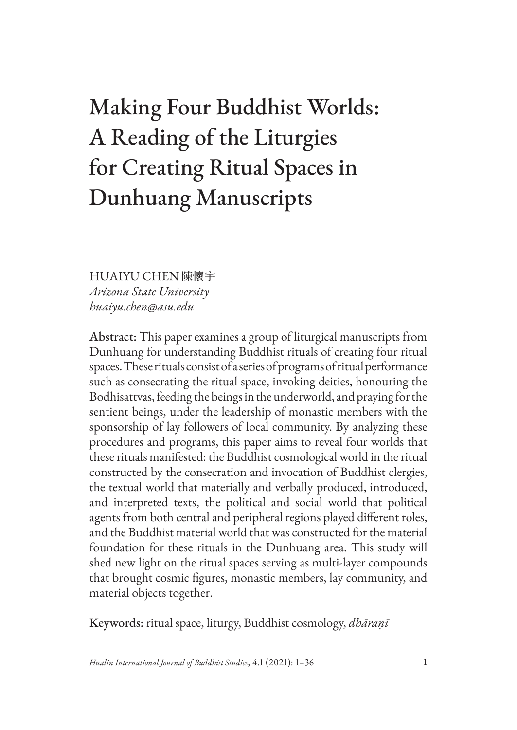# Making Four Buddhist Worlds: A Reading of the Liturgies for Creating Ritual Spaces in Dunhuang Manuscripts

HUAIYU CHEN 陳懷宇 *Arizona State University huaiyu.chen@asu.edu*

Abstract: This paper examines a group of liturgical manuscripts from Dunhuang for understanding Buddhist rituals of creating four ritual spaces. These rituals consist of a series of programs of ritual performance such as consecrating the ritual space, invoking deities, honouring the Bodhisattvas, feeding the beings in the underworld, and praying for the sentient beings, under the leadership of monastic members with the sponsorship of lay followers of local community. By analyzing these procedures and programs, this paper aims to reveal four worlds that these rituals manifested: the Buddhist cosmological world in the ritual constructed by the consecration and invocation of Buddhist clergies, the textual world that materially and verbally produced, introduced, and interpreted texts, the political and social world that political agents from both central and peripheral regions played different roles, and the Buddhist material world that was constructed for the material foundation for these rituals in the Dunhuang area. This study will shed new light on the ritual spaces serving as multi-layer compounds that brought cosmic figures, monastic members, lay community, and material objects together.

Keywords: ritual space, liturgy, Buddhist cosmology, *dhāraṇī*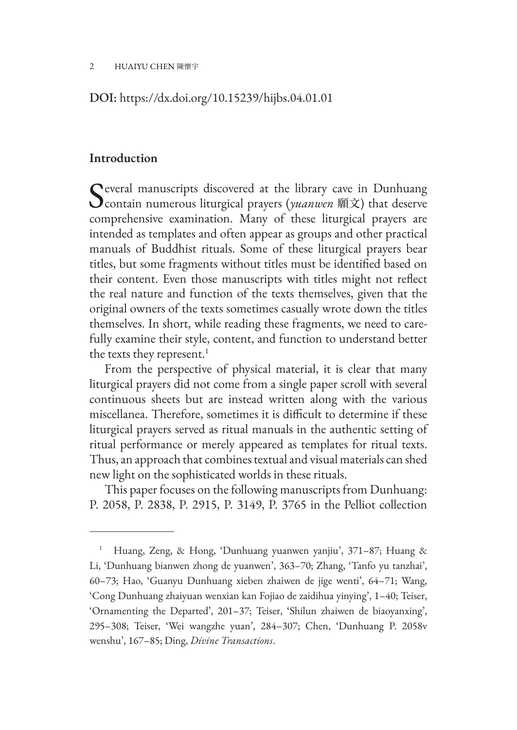#### DOI: https://dx.doi.org/10.15239/hijbs.04.01.01

#### **Introduction**

Several manuscripts discovered at the library cave in Dunhuang<br>
contain numerous liturgical prayers (*yuanwen* 願文) that deserve comprehensive examination. Many of these liturgical prayers are intended as templates and often appear as groups and other practical manuals of Buddhist rituals. Some of these liturgical prayers bear titles, but some fragments without titles must be identified based on their content. Even those manuscripts with titles might not reflect the real nature and function of the texts themselves, given that the original owners of the texts sometimes casually wrote down the titles themselves. In short, while reading these fragments, we need to carefully examine their style, content, and function to understand better the texts they represent.<sup>1</sup>

From the perspective of physical material, it is clear that many liturgical prayers did not come from a single paper scroll with several continuous sheets but are instead written along with the various miscellanea. Therefore, sometimes it is difficult to determine if these liturgical prayers served as ritual manuals in the authentic setting of ritual performance or merely appeared as templates for ritual texts. Thus, an approach that combines textual and visual materials can shed new light on the sophisticated worlds in these rituals.

This paper focuses on the following manuscripts from Dunhuang: P. 2058, P. 2838, P. 2915, P. 3149, P. 3765 in the Pelliot collection

<sup>1</sup> Huang, Zeng, & Hong, 'Dunhuang yuanwen yanjiu', 371–87; Huang & Li, 'Dunhuang bianwen zhong de yuanwen', 363–70; Zhang, 'Tanfo yu tanzhai', 60–73; Hao, 'Guanyu Dunhuang xieben zhaiwen de jige wenti', 64–71; Wang, 'Cong Dunhuang zhaiyuan wenxian kan Fojiao de zaidihua yinying', 1–40; Teiser, 'Ornamenting the Departed', 201–37; Teiser, 'Shilun zhaiwen de biaoyanxing', 295–308; Teiser, 'Wei wangzhe yuan', 284–307; Chen, 'Dunhuang P. 2058v wenshu', 167–85; Ding, *Divine Transactions*.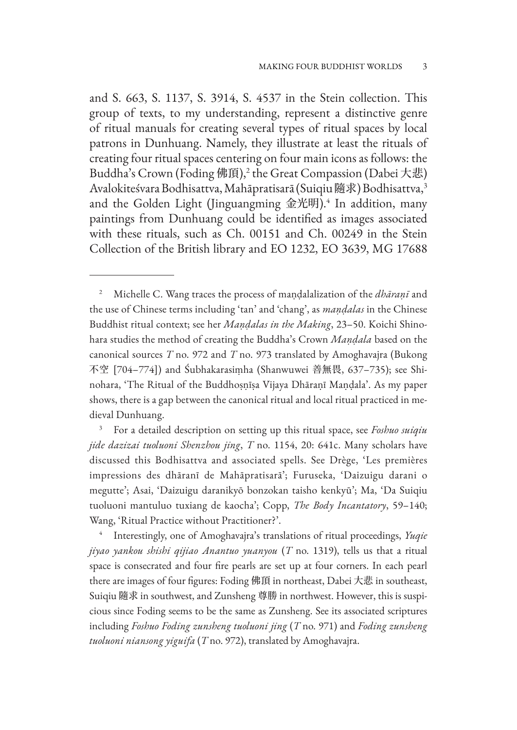and S. 663, S. 1137, S. 3914, S. 4537 in the Stein collection. This group of texts, to my understanding, represent a distinctive genre of ritual manuals for creating several types of ritual spaces by local patrons in Dunhuang. Namely, they illustrate at least the rituals of creating four ritual spaces centering on four main icons as follows: the Buddha's Crown (Foding 佛頂),<sup>2</sup> the Great Compassion (Dabei 大悲) Avalokiteśvara Bodhisattva, Mahāpratisarā (Suiqiu 隨求) Bodhisattva,<sup>3</sup> and the Golden Light (Jinguangming 金光明).<sup>4</sup> In addition, many paintings from Dunhuang could be identified as images associated with these rituals, such as Ch. 00151 and Ch. 00249 in the Stein Collection of the British library and EO 1232, EO 3639, MG 17688

<sup>2</sup> Michelle C. Wang traces the process of maṇḍalalization of the *dhāraṇī* and the use of Chinese terms including 'tan' and 'chang', as *maṇḍalas* in the Chinese Buddhist ritual context; see her *Maṇḍalas in the Making*, 23–50. Koichi Shinohara studies the method of creating the Buddha's Crown *Maṇḍala* based on the canonical sources *T* no. 972 and *T* no. 973 translated by Amoghavajra (Bukong 不空 [704–774]) and Śubhakarasiṃha (Shanwuwei 善無畏, 637–735); see Shinohara, 'The Ritual of the Buddhoṣṇīṣa Vijaya Dhāraṇī Maṇḍala'. As my paper shows, there is a gap between the canonical ritual and local ritual practiced in medieval Dunhuang.

<sup>3</sup> For a detailed description on setting up this ritual space, see *Foshuo suiqiu jide dazizai tuoluoni Shenzhou jing*, *T* no. 1154, 20: 641c. Many scholars have discussed this Bodhisattva and associated spells. See Drège, 'Les premières impressions des dhāranī de Mahāpratisarā'; Furuseka, 'Daizuigu darani o megutte'; Asai, 'Daizuigu daranikyō bonzokan taisho kenkyū'; Ma, 'Da Suiqiu tuoluoni mantuluo tuxiang de kaocha'; Copp, *The Body Incantatory*, 59–140; Wang, 'Ritual Practice without Practitioner?'.

<sup>4</sup> Interestingly, one of Amoghavajra's translations of ritual proceedings, *Yuqie jiyao yankou shishi qijiao Anantuo yuanyou* (*T* no. 1319), tells us that a ritual space is consecrated and four fire pearls are set up at four corners. In each pearl there are images of four figures: Foding 佛頂 in northeast, Dabei 大悲 in southeast, Suiqiu 隨求 in southwest, and Zunsheng 尊勝 in northwest. However, this is suspicious since Foding seems to be the same as Zunsheng. See its associated scriptures including *Foshuo Foding zunsheng tuoluoni jing* (*T* no. 971) and *Foding zunsheng tuoluoni niansong yiguifa* (*T* no. 972), translated by Amoghavajra.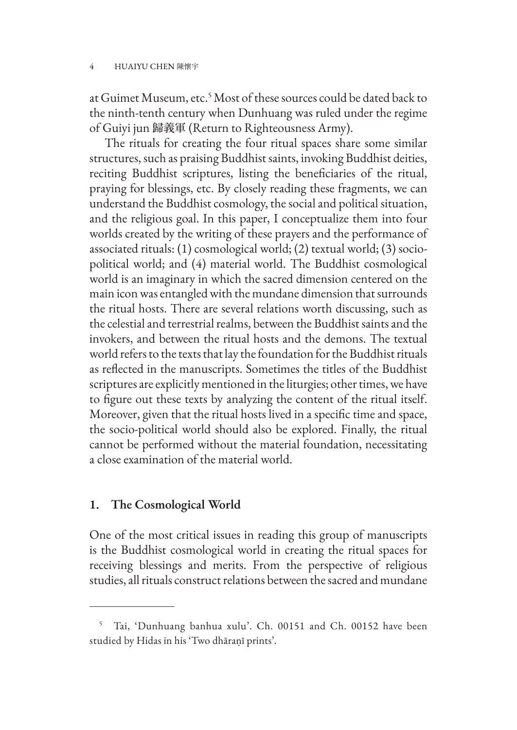at Guimet Museum, etc.<sup>5</sup> Most of these sources could be dated back to the ninth-tenth century when Dunhuang was ruled under the regime of Guiyi jun 歸義軍 (Return to Righteousness Army).

The rituals for creating the four ritual spaces share some similar structures, such as praising Buddhist saints, invoking Buddhist deities, reciting Buddhist scriptures, listing the beneficiaries of the ritual, praying for blessings, etc. By closely reading these fragments, we can understand the Buddhist cosmology, the social and political situation, and the religious goal. In this paper, I conceptualize them into four worlds created by the writing of these prayers and the performance of associated rituals: (1) cosmological world; (2) textual world; (3) sociopolitical world; and (4) material world. The Buddhist cosmological world is an imaginary in which the sacred dimension centered on the main icon was entangled with the mundane dimension that surrounds the ritual hosts. There are several relations worth discussing, such as the celestial and terrestrial realms, between the Buddhist saints and the invokers, and between the ritual hosts and the demons. The textual world refers to the texts that lay the foundation for the Buddhist rituals as reflected in the manuscripts. Sometimes the titles of the Buddhist scriptures are explicitly mentioned in the liturgies; other times, we have to figure out these texts by analyzing the content of the ritual itself. Moreover, given that the ritual hosts lived in a specific time and space, the socio-political world should also be explored. Finally, the ritual cannot be performed without the material foundation, necessitating a close examination of the material world.

### **1. The Cosmological World**

One of the most critical issues in reading this group of manuscripts is the Buddhist cosmological world in creating the ritual spaces for receiving blessings and merits. From the perspective of religious studies, all rituals construct relations between the sacred and mundane

<sup>5</sup> Tai, 'Dunhuang banhua xulu'. Ch. 00151 and Ch. 00152 have been studied by Hidas in his 'Two dhāraṇī prints'.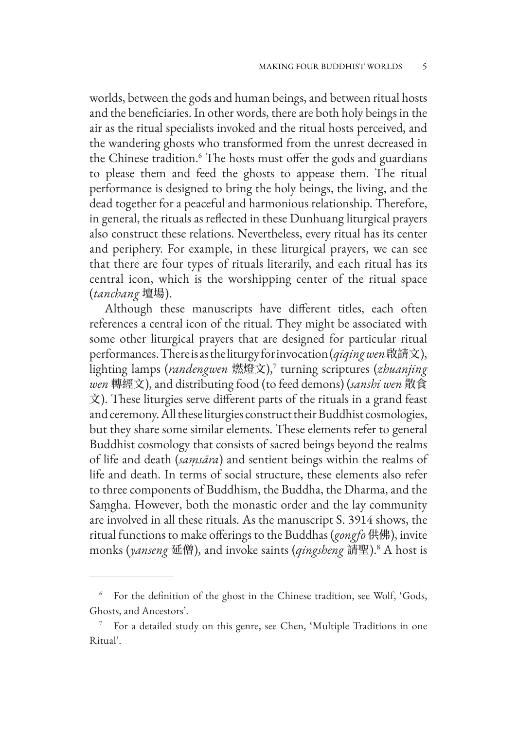worlds, between the gods and human beings, and between ritual hosts and the beneficiaries. In other words, there are both holy beings in the air as the ritual specialists invoked and the ritual hosts perceived, and the wandering ghosts who transformed from the unrest decreased in the Chinese tradition.6 The hosts must offer the gods and guardians to please them and feed the ghosts to appease them. The ritual performance is designed to bring the holy beings, the living, and the dead together for a peaceful and harmonious relationship. Therefore, in general, the rituals as reflected in these Dunhuang liturgical prayers also construct these relations. Nevertheless, every ritual has its center and periphery. For example, in these liturgical prayers, we can see that there are four types of rituals literarily, and each ritual has its central icon, which is the worshipping center of the ritual space (*tanchang* 壇場).

Although these manuscripts have different titles, each often references a central icon of the ritual. They might be associated with some other liturgical prayers that are designed for particular ritual performances. There is as the liturgy for invocation (*qiqing wen* 啟請文), lighting lamps (*randengwen* 燃燈文),<sup>7</sup> turning scriptures (*zhuanjing wen* 轉經文), and distributing food (to feed demons) (*sanshi wen* 散食 文). These liturgies serve different parts of the rituals in a grand feast and ceremony. All these liturgies construct their Buddhist cosmologies, but they share some similar elements. These elements refer to general Buddhist cosmology that consists of sacred beings beyond the realms of life and death (*saṃsāra*) and sentient beings within the realms of life and death. In terms of social structure, these elements also refer to three components of Buddhism, the Buddha, the Dharma, and the Saṃgha. However, both the monastic order and the lay community are involved in all these rituals. As the manuscript S. 3914 shows, the ritual functions to make offerings to the Buddhas (*gongfo* 供佛), invite monks (*yanseng* 延僧), and invoke saints (*qingsheng* 請聖).<sup>8</sup> A host is

<sup>&</sup>lt;sup>6</sup> For the definition of the ghost in the Chinese tradition, see Wolf, 'Gods, Ghosts, and Ancestors'.

<sup>7</sup> For a detailed study on this genre, see Chen, 'Multiple Traditions in one Ritual'.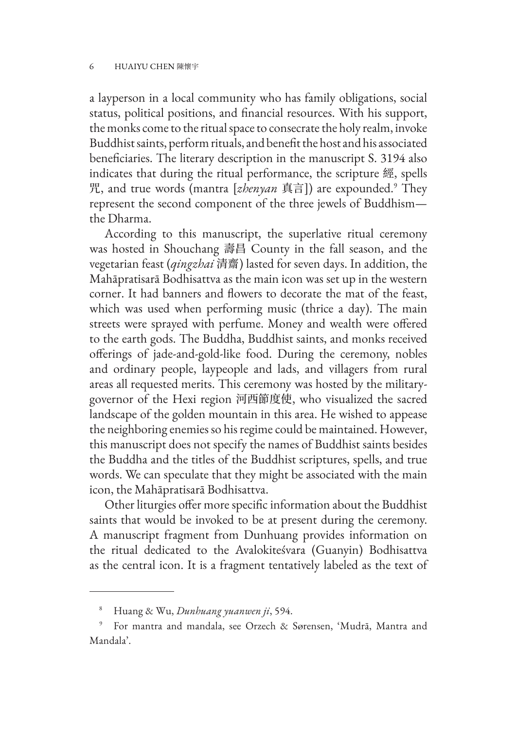a layperson in a local community who has family obligations, social status, political positions, and financial resources. With his support, the monks come to the ritual space to consecrate the holy realm, invoke Buddhist saints, perform rituals, and benefit the host and his associated beneficiaries. The literary description in the manuscript S. 3194 also indicates that during the ritual performance, the scripture 經, spells 咒, and true words (mantra [*zhenyan* 真言]) are expounded.<sup>9</sup> They represent the second component of the three jewels of Buddhism the Dharma.

According to this manuscript, the superlative ritual ceremony was hosted in Shouchang 壽昌 County in the fall season, and the vegetarian feast (*qingzhai* 清齋) lasted for seven days. In addition, the Mahāpratisarā Bodhisattva as the main icon was set up in the western corner. It had banners and flowers to decorate the mat of the feast, which was used when performing music (thrice a day). The main streets were sprayed with perfume. Money and wealth were offered to the earth gods. The Buddha, Buddhist saints, and monks received offerings of jade-and-gold-like food. During the ceremony, nobles and ordinary people, laypeople and lads, and villagers from rural areas all requested merits. This ceremony was hosted by the militarygovernor of the Hexi region 河西節度使, who visualized the sacred landscape of the golden mountain in this area. He wished to appease the neighboring enemies so his regime could be maintained. However, this manuscript does not specify the names of Buddhist saints besides the Buddha and the titles of the Buddhist scriptures, spells, and true words. We can speculate that they might be associated with the main icon, the Mahāpratisarā Bodhisattva.

Other liturgies offer more specific information about the Buddhist saints that would be invoked to be at present during the ceremony. A manuscript fragment from Dunhuang provides information on the ritual dedicated to the Avalokiteśvara (Guanyin) Bodhisattva as the central icon. It is a fragment tentatively labeled as the text of

<sup>8</sup> Huang & Wu, *Dunhuang yuanwen ji*, 594.

<sup>9</sup> For mantra and mandala, see Orzech & Sørensen, 'Mudrā, Mantra and Mandala'.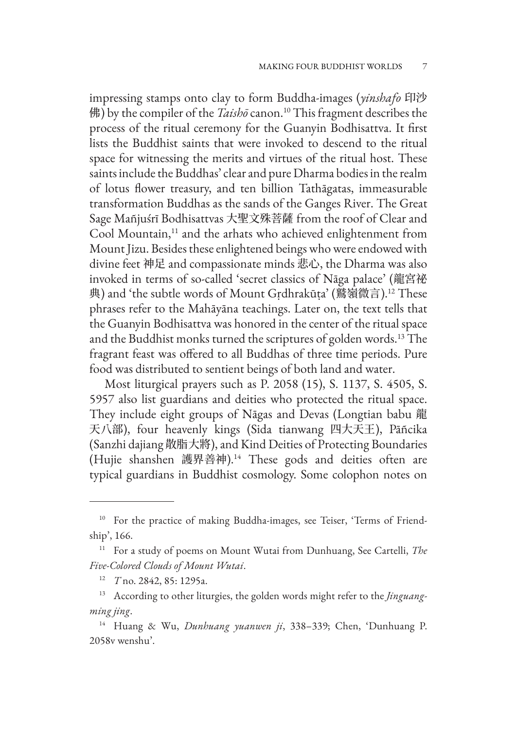impressing stamps onto clay to form Buddha-images (*yinshafo* 印沙 佛) by the compiler of the *Taishō* canon.<sup>10</sup> This fragment describes the process of the ritual ceremony for the Guanyin Bodhisattva. It first lists the Buddhist saints that were invoked to descend to the ritual space for witnessing the merits and virtues of the ritual host. These saints include the Buddhas' clear and pure Dharma bodies in the realm of lotus flower treasury, and ten billion Tathāgatas, immeasurable transformation Buddhas as the sands of the Ganges River. The Great Sage Mañjuśrī Bodhisattvas 大聖文殊菩薩 from the roof of Clear and Cool Mountain,<sup>11</sup> and the arhats who achieved enlightenment from Mount Jizu. Besides these enlightened beings who were endowed with divine feet 神足 and compassionate minds 悲心, the Dharma was also invoked in terms of so-called 'secret classics of Nāga palace' (龍宮祕 典) and 'the subtle words of Mount Gṛdhrakūṭa' (鷲嶺微言).12 These phrases refer to the Mahāyāna teachings. Later on, the text tells that the Guanyin Bodhisattva was honored in the center of the ritual space and the Buddhist monks turned the scriptures of golden words.13 The fragrant feast was offered to all Buddhas of three time periods. Pure food was distributed to sentient beings of both land and water.

Most liturgical prayers such as P. 2058 (15), S. 1137, S. 4505, S. 5957 also list guardians and deities who protected the ritual space. They include eight groups of Nāgas and Devas (Longtian babu 龍 天八部), four heavenly kings (Sida tianwang 四大天王), Pāñcika (Sanzhi dajiang 散脂大將), and Kind Deities of Protecting Boundaries (Hujie shanshen 護界善神).14 These gods and deities often are typical guardians in Buddhist cosmology. Some colophon notes on

<sup>&</sup>lt;sup>10</sup> For the practice of making Buddha-images, see Teiser, 'Terms of Friendship', 166.

<sup>11</sup> For a study of poems on Mount Wutai from Dunhuang, See Cartelli, *The Five-Colored Clouds of Mount Wutai*.

<sup>12</sup> *T* no. 2842, 85: 1295a.

<sup>13</sup> According to other liturgies, the golden words might refer to the *Jinguangming jing*.

<sup>14</sup> Huang & Wu, *Dunhuang yuanwen ji*, 338–339; Chen, 'Dunhuang P. 2058v wenshu'.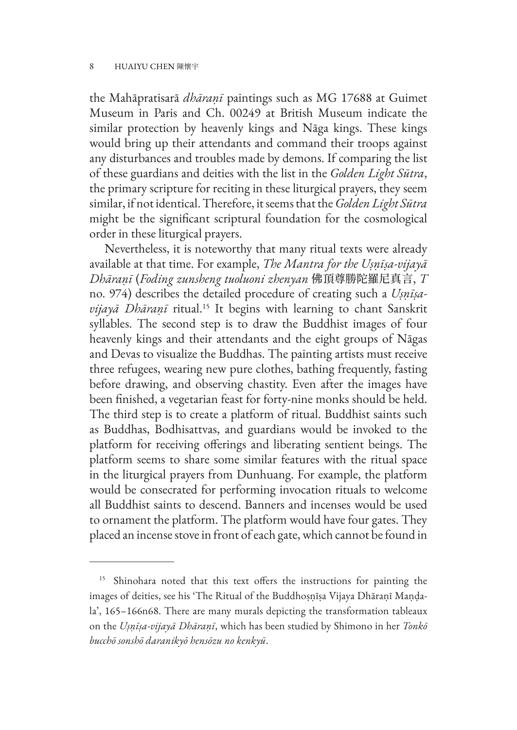the Mahāpratisarā *dhāraṇī* paintings such as MG 17688 at Guimet Museum in Paris and Ch. 00249 at British Museum indicate the similar protection by heavenly kings and Nāga kings. These kings would bring up their attendants and command their troops against any disturbances and troubles made by demons. If comparing the list of these guardians and deities with the list in the *Golden Light Sūtra*, the primary scripture for reciting in these liturgical prayers, they seem similar, if not identical. Therefore, it seems that the *Golden Light Sūtra*  might be the significant scriptural foundation for the cosmological order in these liturgical prayers.

Nevertheless, it is noteworthy that many ritual texts were already available at that time. For example, *The Mantra for the Uṣṇīṣa-vijayā Dhāraṇī* (*Foding zunsheng tuoluoni zhenyan* 佛頂尊勝陀羅尼真言, *T*  no. 974) describes the detailed procedure of creating such a *Uṣṇīṣavijayā Dhāraṇī* ritual.15 It begins with learning to chant Sanskrit syllables. The second step is to draw the Buddhist images of four heavenly kings and their attendants and the eight groups of Nāgas and Devas to visualize the Buddhas. The painting artists must receive three refugees, wearing new pure clothes, bathing frequently, fasting before drawing, and observing chastity. Even after the images have been finished, a vegetarian feast for forty-nine monks should be held. The third step is to create a platform of ritual. Buddhist saints such as Buddhas, Bodhisattvas, and guardians would be invoked to the platform for receiving offerings and liberating sentient beings. The platform seems to share some similar features with the ritual space in the liturgical prayers from Dunhuang. For example, the platform would be consecrated for performing invocation rituals to welcome all Buddhist saints to descend. Banners and incenses would be used to ornament the platform. The platform would have four gates. They placed an incense stove in front of each gate, which cannot be found in

<sup>&</sup>lt;sup>15</sup> Shinohara noted that this text offers the instructions for painting the images of deities, see his 'The Ritual of the Buddhoṣṇīṣa Vijaya Dhāraṇī Maṇḍala', 165–166n68. There are many murals depicting the transformation tableaux on the *Uṣṇīṣa-vijayā Dhāraṇī*, which has been studied by Shimono in her *Tonkō bucchō sonshō daranikyō hensōzu no kenkyū*.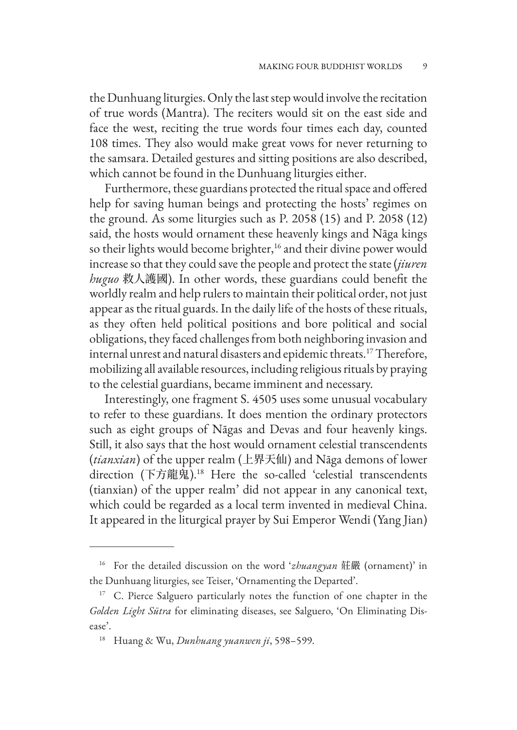the Dunhuang liturgies. Only the last step would involve the recitation of true words (Mantra). The reciters would sit on the east side and face the west, reciting the true words four times each day, counted 108 times. They also would make great vows for never returning to the samsara. Detailed gestures and sitting positions are also described, which cannot be found in the Dunhuang liturgies either.

Furthermore, these guardians protected the ritual space and offered help for saving human beings and protecting the hosts' regimes on the ground. As some liturgies such as P. 2058 (15) and P. 2058 (12) said, the hosts would ornament these heavenly kings and Nāga kings so their lights would become brighter,<sup>16</sup> and their divine power would increase so that they could save the people and protect the state (*jiuren huguo* 救人護國). In other words, these guardians could benefit the worldly realm and help rulers to maintain their political order, not just appear as the ritual guards. In the daily life of the hosts of these rituals, as they often held political positions and bore political and social obligations, they faced challenges from both neighboring invasion and internal unrest and natural disasters and epidemic threats.17 Therefore, mobilizing all available resources, including religious rituals by praying to the celestial guardians, became imminent and necessary.

Interestingly, one fragment S. 4505 uses some unusual vocabulary to refer to these guardians. It does mention the ordinary protectors such as eight groups of Nāgas and Devas and four heavenly kings. Still, it also says that the host would ornament celestial transcendents (*tianxian*) of the upper realm (上界天仙) and Nāga demons of lower direction (下方龍鬼).18 Here the so-called 'celestial transcendents (tianxian) of the upper realm' did not appear in any canonical text, which could be regarded as a local term invented in medieval China. It appeared in the liturgical prayer by Sui Emperor Wendi (Yang Jian)

<sup>16</sup> For the detailed discussion on the word '*zhuangyan* 莊嚴 (ornament)' in the Dunhuang liturgies, see Teiser, 'Ornamenting the Departed'.

<sup>&</sup>lt;sup>17</sup> C. Pierce Salguero particularly notes the function of one chapter in the *Golden Light Sūtra* for eliminating diseases, see Salguero, 'On Eliminating Disease'.

<sup>18</sup> Huang & Wu, *Dunhuang yuanwen ji*, 598–599.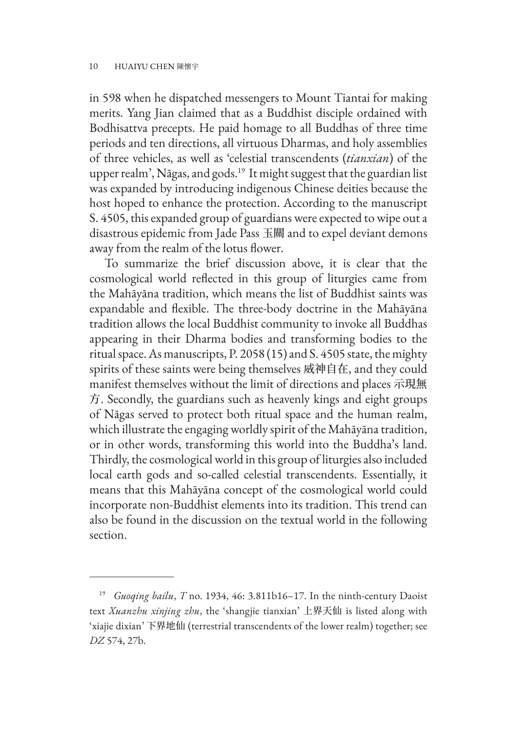in 598 when he dispatched messengers to Mount Tiantai for making merits. Yang Jian claimed that as a Buddhist disciple ordained with Bodhisattva precepts. He paid homage to all Buddhas of three time periods and ten directions, all virtuous Dharmas, and holy assemblies of three vehicles, as well as 'celestial transcendents (*tianxian*) of the upper realm', Nāgas, and gods.19 It might suggest that the guardian list was expanded by introducing indigenous Chinese deities because the host hoped to enhance the protection. According to the manuscript S. 4505, this expanded group of guardians were expected to wipe out a disastrous epidemic from Jade Pass 玉關 and to expel deviant demons away from the realm of the lotus flower.

To summarize the brief discussion above, it is clear that the cosmological world reflected in this group of liturgies came from the Mahāyāna tradition, which means the list of Buddhist saints was expandable and flexible. The three-body doctrine in the Mahāyāna tradition allows the local Buddhist community to invoke all Buddhas appearing in their Dharma bodies and transforming bodies to the ritual space. As manuscripts, P. 2058 (15) and S. 4505 state, the mighty spirits of these saints were being themselves 威神自在, and they could manifest themselves without the limit of directions and places 示現無 方. Secondly, the guardians such as heavenly kings and eight groups of Nāgas served to protect both ritual space and the human realm, which illustrate the engaging worldly spirit of the Mahāyāna tradition, or in other words, transforming this world into the Buddha's land. Thirdly, the cosmological world in this group of liturgies also included local earth gods and so-called celestial transcendents. Essentially, it means that this Mahāyāna concept of the cosmological world could incorporate non-Buddhist elements into its tradition. This trend can also be found in the discussion on the textual world in the following section.

<sup>19</sup> *Guoqing bailu*, *T* no. 1934, 46: 3.811b16–17. In the ninth-century Daoist text *Xuanzhu xinjing zhu*, the 'shangjie tianxian' 上界天仙 is listed along with 'xiajie dixian' 下界地仙 (terrestrial transcendents of the lower realm) together; see *DZ* 574, 27b.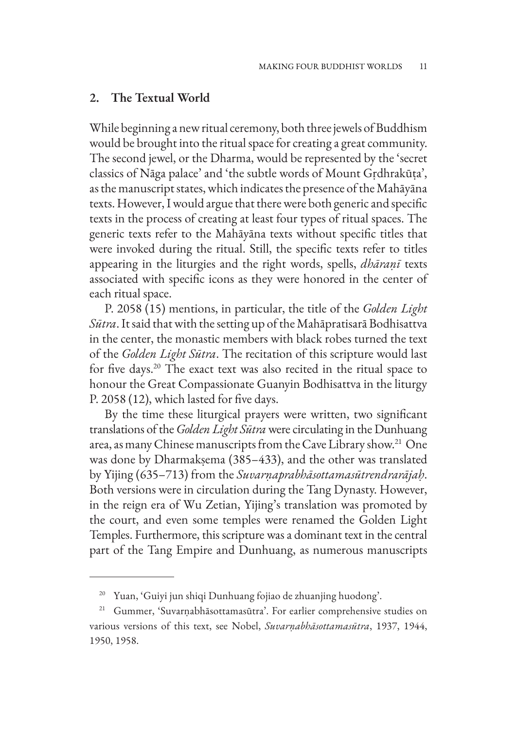#### **2. The Textual World**

While beginning a new ritual ceremony, both three jewels of Buddhism would be brought into the ritual space for creating a great community. The second jewel, or the Dharma, would be represented by the 'secret classics of Nāga palace' and 'the subtle words of Mount Gṛdhrakūṭa', as the manuscript states, which indicates the presence of the Mahāyāna texts. However, I would argue that there were both generic and specific texts in the process of creating at least four types of ritual spaces. The generic texts refer to the Mahāyāna texts without specific titles that were invoked during the ritual. Still, the specific texts refer to titles appearing in the liturgies and the right words, spells, *dhāraṇī* texts associated with specific icons as they were honored in the center of each ritual space.

P. 2058 (15) mentions, in particular, the title of the *Golden Light Sūtra*. It said that with the setting up of the Mahāpratisarā Bodhisattva in the center, the monastic members with black robes turned the text of the *Golden Light Sūtra*. The recitation of this scripture would last for five days.20 The exact text was also recited in the ritual space to honour the Great Compassionate Guanyin Bodhisattva in the liturgy P. 2058 (12), which lasted for five days.

By the time these liturgical prayers were written, two significant translations of the *Golden Light Sūtra* were circulating in the Dunhuang area, as many Chinese manuscripts from the Cave Library show.<sup>21</sup> One was done by Dharmakṣema (385–433), and the other was translated by Yijing (635–713) from the *Suvarṇaprabhāsottamasūtrendrarājaḥ*. Both versions were in circulation during the Tang Dynasty. However, in the reign era of Wu Zetian, Yijing's translation was promoted by the court, and even some temples were renamed the Golden Light Temples. Furthermore, this scripture was a dominant text in the central part of the Tang Empire and Dunhuang, as numerous manuscripts

<sup>20</sup> Yuan, 'Guiyi jun shiqi Dunhuang fojiao de zhuanjing huodong'.

<sup>21</sup> Gummer, 'Suvarṇabhāsottamasūtra'. For earlier comprehensive studies on various versions of this text, see Nobel, *Suvarṇabhāsottamasūtra*, 1937, 1944, 1950, 1958.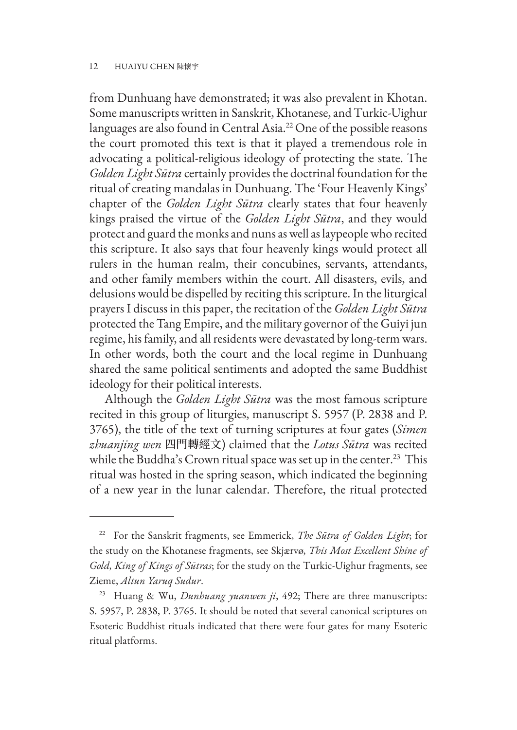#### 12 HUAIYU CHEN 陳懷宇

from Dunhuang have demonstrated; it was also prevalent in Khotan. Some manuscripts written in Sanskrit, Khotanese, and Turkic-Uighur languages are also found in Central Asia.22 One of the possible reasons the court promoted this text is that it played a tremendous role in advocating a political-religious ideology of protecting the state. The *Golden Light Sūtra* certainly provides the doctrinal foundation for the ritual of creating mandalas in Dunhuang. The 'Four Heavenly Kings' chapter of the *Golden Light Sūtra* clearly states that four heavenly kings praised the virtue of the *Golden Light Sūtra*, and they would protect and guard the monks and nuns as well as laypeople who recited this scripture. It also says that four heavenly kings would protect all rulers in the human realm, their concubines, servants, attendants, and other family members within the court. All disasters, evils, and delusions would be dispelled by reciting this scripture. In the liturgical prayers I discuss in this paper, the recitation of the *Golden Light Sūtra*  protected the Tang Empire, and the military governor of the Guiyi jun regime, his family, and all residents were devastated by long-term wars. In other words, both the court and the local regime in Dunhuang shared the same political sentiments and adopted the same Buddhist ideology for their political interests.

Although the *Golden Light Sūtra* was the most famous scripture recited in this group of liturgies, manuscript S. 5957 (P. 2838 and P. 3765), the title of the text of turning scriptures at four gates (*Simen zhuanjing wen* 四門轉經文) claimed that the *Lotus Sūtra* was recited while the Buddha's Crown ritual space was set up in the center.<sup>23</sup> This ritual was hosted in the spring season, which indicated the beginning of a new year in the lunar calendar. Therefore, the ritual protected

<sup>22</sup> For the Sanskrit fragments, see Emmerick, *The Sūtra of Golden Light*; for the study on the Khotanese fragments, see Skjærvø, *This Most Excellent Shine of Gold, King of Kings of Sūtras*; for the study on the Turkic-Uighur fragments, see Zieme, *Altun Yaruq Sudur*.

<sup>23</sup> Huang & Wu, *Dunhuang yuanwen ji*, 492; There are three manuscripts: S. 5957, P. 2838, P. 3765. It should be noted that several canonical scriptures on Esoteric Buddhist rituals indicated that there were four gates for many Esoteric ritual platforms.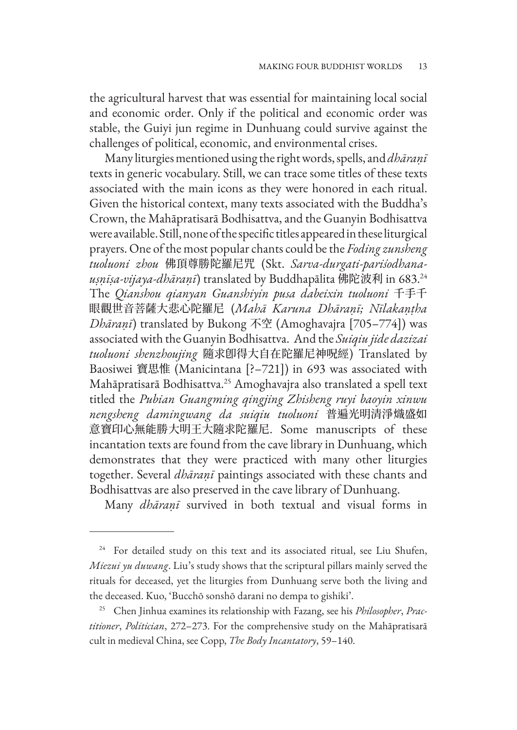the agricultural harvest that was essential for maintaining local social and economic order. Only if the political and economic order was stable, the Guiyi jun regime in Dunhuang could survive against the challenges of political, economic, and environmental crises.

Many liturgies mentioned using the right words, spells, and *dhāraṇī* texts in generic vocabulary. Still, we can trace some titles of these texts associated with the main icons as they were honored in each ritual. Given the historical context, many texts associated with the Buddha's Crown, the Mahāpratisarā Bodhisattva, and the Guanyin Bodhisattva were available. Still, none of the specific titles appeared in these liturgical prayers. One of the most popular chants could be the *Foding zunsheng tuoluoni zhou* 佛頂尊勝陀羅尼咒 (Skt. *Sarva-durgati-pariśodhanauṣṇīṣa-vijaya-dhāraṇī*) translated by Buddhapālita 佛陀波利 in 683.24 The *Qianshou qianyan Guanshiyin pusa dabeixin tuoluoni* 千手千 眼觀世音菩薩大悲心陀羅尼 (*Mahā Karuna Dhāraṇī; Nīlakaṇṭha Dhāraṇī*) translated by Bukong 不空 (Amoghavajra [705–774]) was associated with the Guanyin Bodhisattva. And the *Suiqiu jide dazizai tuoluoni shenzhoujing* 隨求卽得大自在陀羅尼神呪經) Translated by Baosiwei 寶思惟 (Manicintana [?–721]) in 693 was associated with Mahāpratisarā Bodhisattva.25 Amoghavajra also translated a spell text titled the *Pubian Guangming qingjing Zhisheng ruyi baoyin xinwu nengsheng damingwang da suiqiu tuoluoni* 普遍光明清淨熾盛如 意寶印心無能勝大明王大隨求陀羅尼. Some manuscripts of these incantation texts are found from the cave library in Dunhuang, which demonstrates that they were practiced with many other liturgies together. Several *dhāraṇī* paintings associated with these chants and Bodhisattvas are also preserved in the cave library of Dunhuang.

Many *dhāraṇī* survived in both textual and visual forms in

<sup>&</sup>lt;sup>24</sup> For detailed study on this text and its associated ritual, see Liu Shufen, *Miezui yu duwang*. Liu's study shows that the scriptural pillars mainly served the rituals for deceased, yet the liturgies from Dunhuang serve both the living and the deceased. Kuo, 'Bucchō sonshō darani no dempa to gishiki'.

<sup>25</sup> Chen Jinhua examines its relationship with Fazang, see his *Philosopher*, *Practitioner*, *Politician*, 272–273. For the comprehensive study on the Mahāpratisarā cult in medieval China, see Copp, *The Body Incantatory*, 59–140.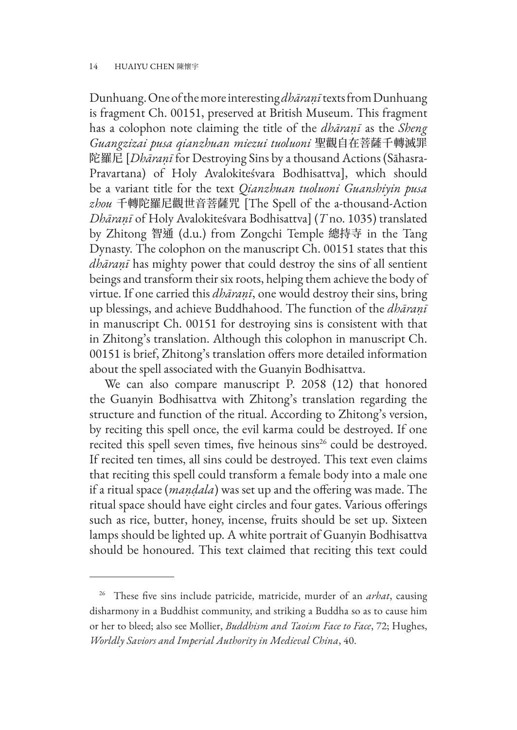Dunhuang. One of the more interesting *dhāraṇī* texts from Dunhuang is fragment Ch. 00151, preserved at British Museum. This fragment has a colophon note claiming the title of the *dhāraṇī* as the *Sheng Guangzizai pusa qianzhuan miezui tuoluoni* 聖觀自在菩薩千轉滅罪 陀羅尼 [*Dhāraṇī* for Destroying Sins by a thousand Actions (Sāhasra-Pravartana) of Holy Avalokiteśvara Bodhisattva], which should be a variant title for the text *Qianzhuan tuoluoni Guanshiyin pusa zhou* 千轉陀羅尼觀世音菩薩咒 [The Spell of the a-thousand-Action *Dhāraṇī* of Holy Avalokiteśvara Bodhisattva] (*T* no. 1035) translated by Zhitong 智通 (d.u.) from Zongchi Temple 總持寺 in the Tang Dynasty. The colophon on the manuscript Ch. 00151 states that this *dhāraṇī* has mighty power that could destroy the sins of all sentient beings and transform their six roots, helping them achieve the body of virtue. If one carried this *dhāraṇī*, one would destroy their sins, bring up blessings, and achieve Buddhahood. The function of the *dhāraṇī* in manuscript Ch. 00151 for destroying sins is consistent with that in Zhitong's translation. Although this colophon in manuscript Ch. 00151 is brief, Zhitong's translation offers more detailed information about the spell associated with the Guanyin Bodhisattva.

We can also compare manuscript P. 2058 (12) that honored the Guanyin Bodhisattva with Zhitong's translation regarding the structure and function of the ritual. According to Zhitong's version, by reciting this spell once, the evil karma could be destroyed. If one recited this spell seven times, five heinous sins<sup>26</sup> could be destroyed. If recited ten times, all sins could be destroyed. This text even claims that reciting this spell could transform a female body into a male one if a ritual space (*maṇḍala*) was set up and the offering was made. The ritual space should have eight circles and four gates. Various offerings such as rice, butter, honey, incense, fruits should be set up. Sixteen lamps should be lighted up. A white portrait of Guanyin Bodhisattva should be honoured. This text claimed that reciting this text could

<sup>26</sup> These five sins include patricide, matricide, murder of an *arhat*, causing disharmony in a Buddhist community, and striking a Buddha so as to cause him or her to bleed; also see Mollier, *Buddhism and Taoism Face to Face*, 72; Hughes, *Worldly Saviors and Imperial Authority in Medieval China*, 40.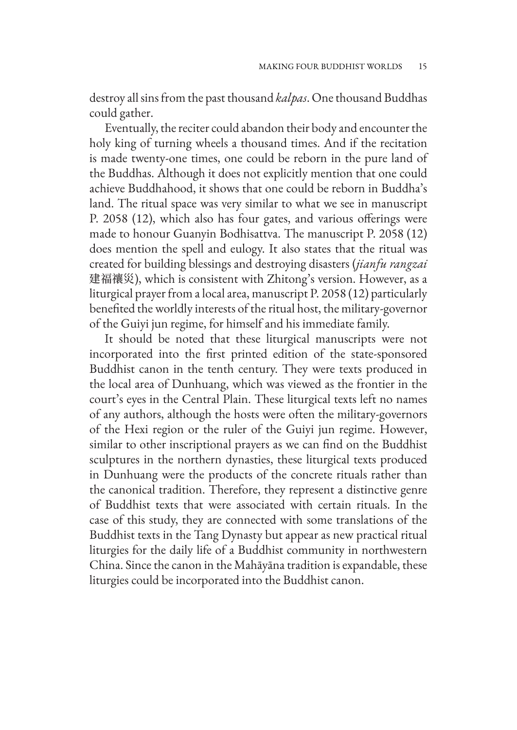destroy all sins from the past thousand *kalpas*. One thousand Buddhas could gather.

Eventually, the reciter could abandon their body and encounter the holy king of turning wheels a thousand times. And if the recitation is made twenty-one times, one could be reborn in the pure land of the Buddhas. Although it does not explicitly mention that one could achieve Buddhahood, it shows that one could be reborn in Buddha's land. The ritual space was very similar to what we see in manuscript P. 2058 (12), which also has four gates, and various offerings were made to honour Guanyin Bodhisattva. The manuscript P. 2058 (12) does mention the spell and eulogy. It also states that the ritual was created for building blessings and destroying disasters (*jianfu rangzai*  建福禳災), which is consistent with Zhitong's version. However, as a liturgical prayer from a local area, manuscript P. 2058 (12) particularly benefited the worldly interests of the ritual host, the military-governor of the Guiyi jun regime, for himself and his immediate family.

It should be noted that these liturgical manuscripts were not incorporated into the first printed edition of the state-sponsored Buddhist canon in the tenth century. They were texts produced in the local area of Dunhuang, which was viewed as the frontier in the court's eyes in the Central Plain. These liturgical texts left no names of any authors, although the hosts were often the military-governors of the Hexi region or the ruler of the Guiyi jun regime. However, similar to other inscriptional prayers as we can find on the Buddhist sculptures in the northern dynasties, these liturgical texts produced in Dunhuang were the products of the concrete rituals rather than the canonical tradition. Therefore, they represent a distinctive genre of Buddhist texts that were associated with certain rituals. In the case of this study, they are connected with some translations of the Buddhist texts in the Tang Dynasty but appear as new practical ritual liturgies for the daily life of a Buddhist community in northwestern China. Since the canon in the Mahāyāna tradition is expandable, these liturgies could be incorporated into the Buddhist canon.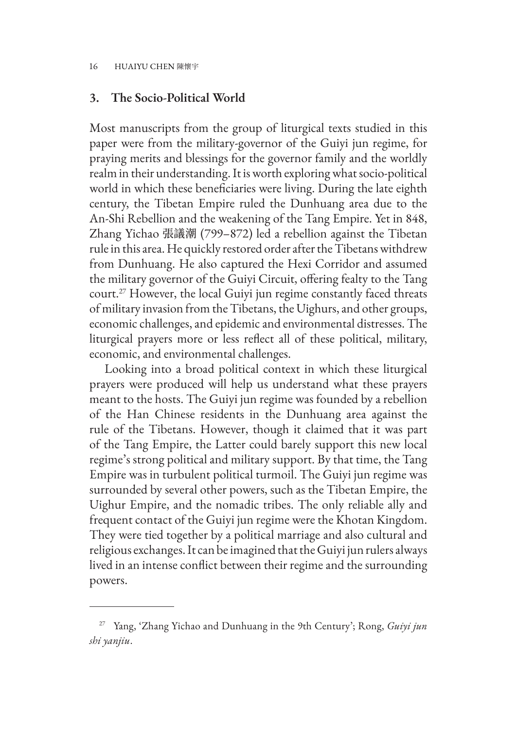#### **3. The Socio-Political World**

Most manuscripts from the group of liturgical texts studied in this paper were from the military-governor of the Guiyi jun regime, for praying merits and blessings for the governor family and the worldly realm in their understanding. It is worth exploring what socio-political world in which these beneficiaries were living. During the late eighth century, the Tibetan Empire ruled the Dunhuang area due to the An-Shi Rebellion and the weakening of the Tang Empire. Yet in 848, Zhang Yichao 張議潮 (799–872) led a rebellion against the Tibetan rule in this area. He quickly restored order after the Tibetans withdrew from Dunhuang. He also captured the Hexi Corridor and assumed the military governor of the Guiyi Circuit, offering fealty to the Tang court.27 However, the local Guiyi jun regime constantly faced threats of military invasion from the Tibetans, the Uighurs, and other groups, economic challenges, and epidemic and environmental distresses. The liturgical prayers more or less reflect all of these political, military, economic, and environmental challenges.

Looking into a broad political context in which these liturgical prayers were produced will help us understand what these prayers meant to the hosts. The Guiyi jun regime was founded by a rebellion of the Han Chinese residents in the Dunhuang area against the rule of the Tibetans. However, though it claimed that it was part of the Tang Empire, the Latter could barely support this new local regime's strong political and military support. By that time, the Tang Empire was in turbulent political turmoil. The Guiyi jun regime was surrounded by several other powers, such as the Tibetan Empire, the Uighur Empire, and the nomadic tribes. The only reliable ally and frequent contact of the Guiyi jun regime were the Khotan Kingdom. They were tied together by a political marriage and also cultural and religious exchanges. It can be imagined that the Guiyi jun rulers always lived in an intense conflict between their regime and the surrounding powers.

<sup>27</sup> Yang, 'Zhang Yichao and Dunhuang in the 9th Century'; Rong, *Guiyi jun shi yanjiu*.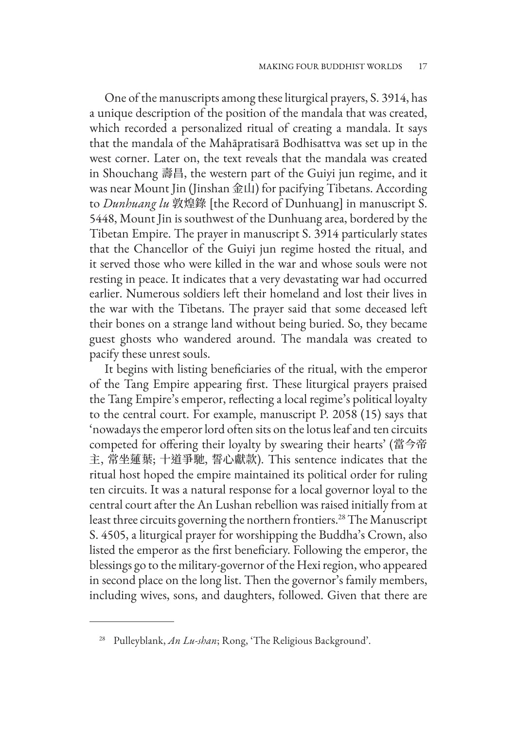One of the manuscripts among these liturgical prayers, S. 3914, has a unique description of the position of the mandala that was created, which recorded a personalized ritual of creating a mandala. It says that the mandala of the Mahāpratisarā Bodhisattva was set up in the west corner. Later on, the text reveals that the mandala was created in Shouchang 壽昌, the western part of the Guiyi jun regime, and it was near Mount Jin (Jinshan 金山) for pacifying Tibetans. According to *Dunhuang lu* 敦煌錄 [the Record of Dunhuang] in manuscript S. 5448, Mount Jin is southwest of the Dunhuang area, bordered by the Tibetan Empire. The prayer in manuscript S. 3914 particularly states that the Chancellor of the Guiyi jun regime hosted the ritual, and it served those who were killed in the war and whose souls were not resting in peace. It indicates that a very devastating war had occurred earlier. Numerous soldiers left their homeland and lost their lives in the war with the Tibetans. The prayer said that some deceased left their bones on a strange land without being buried. So, they became guest ghosts who wandered around. The mandala was created to pacify these unrest souls.

It begins with listing beneficiaries of the ritual, with the emperor of the Tang Empire appearing first. These liturgical prayers praised the Tang Empire's emperor, reflecting a local regime's political loyalty to the central court. For example, manuscript P. 2058 (15) says that 'nowadays the emperor lord often sits on the lotus leaf and ten circuits competed for offering their loyalty by swearing their hearts' (當今帝 主, 常坐蓮葉; 十道爭馳, 誓心獻款). This sentence indicates that the ritual host hoped the empire maintained its political order for ruling ten circuits. It was a natural response for a local governor loyal to the central court after the An Lushan rebellion was raised initially from at least three circuits governing the northern frontiers.<sup>28</sup> The Manuscript S. 4505, a liturgical prayer for worshipping the Buddha's Crown, also listed the emperor as the first beneficiary. Following the emperor, the blessings go to the military-governor of the Hexi region, who appeared in second place on the long list. Then the governor's family members, including wives, sons, and daughters, followed. Given that there are

<sup>28</sup> Pulleyblank, *An Lu-shan*; Rong, 'The Religious Background'.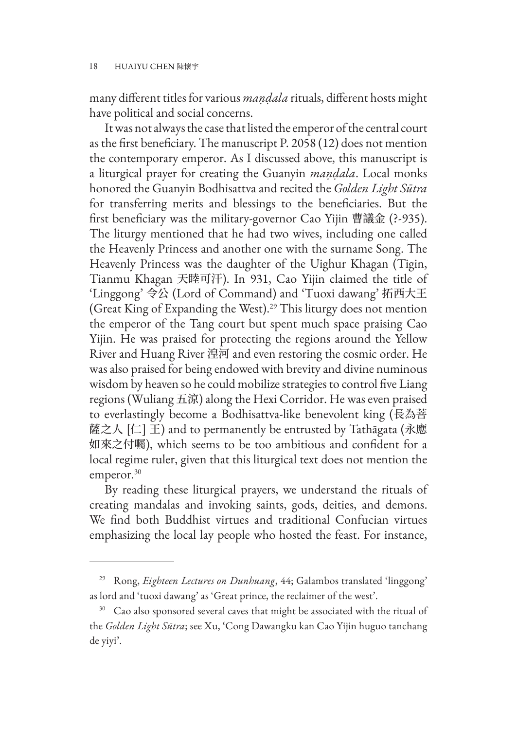many different titles for various *maṇḍala* rituals, different hosts might have political and social concerns.

It was not always the case that listed the emperor of the central court as the first beneficiary. The manuscript P. 2058 (12) does not mention the contemporary emperor. As I discussed above, this manuscript is a liturgical prayer for creating the Guanyin *maṇḍala*. Local monks honored the Guanyin Bodhisattva and recited the *Golden Light Sūtra* for transferring merits and blessings to the beneficiaries. But the first beneficiary was the military-governor Cao Yijin 曹議金 (?-935). The liturgy mentioned that he had two wives, including one called the Heavenly Princess and another one with the surname Song. The Heavenly Princess was the daughter of the Uighur Khagan (Tigin, Tianmu Khagan 天睦可汗). In 931, Cao Yijin claimed the title of 'Linggong' 令公 (Lord of Command) and 'Tuoxi dawang' 拓西大王 (Great King of Expanding the West).<sup>29</sup> This liturgy does not mention the emperor of the Tang court but spent much space praising Cao Yijin. He was praised for protecting the regions around the Yellow River and Huang River 湟河 and even restoring the cosmic order. He was also praised for being endowed with brevity and divine numinous wisdom by heaven so he could mobilize strategies to control five Liang regions (Wuliang 五涼) along the Hexi Corridor. He was even praised to everlastingly become a Bodhisattva-like benevolent king (長為菩 薩之人 [仁] 王) and to permanently be entrusted by Tathāgata (永應 如來之付囑), which seems to be too ambitious and confident for a local regime ruler, given that this liturgical text does not mention the emperor.<sup>30</sup>

By reading these liturgical prayers, we understand the rituals of creating mandalas and invoking saints, gods, deities, and demons. We find both Buddhist virtues and traditional Confucian virtues emphasizing the local lay people who hosted the feast. For instance,

<sup>29</sup> Rong, *Eighteen Lectures on Dunhuang*, 44; Galambos translated 'linggong' as lord and 'tuoxi dawang' as 'Great prince, the reclaimer of the west'.

<sup>&</sup>lt;sup>30</sup> Cao also sponsored several caves that might be associated with the ritual of the *Golden Light Sūtra*; see Xu, 'Cong Dawangku kan Cao Yijin huguo tanchang de yiyi'.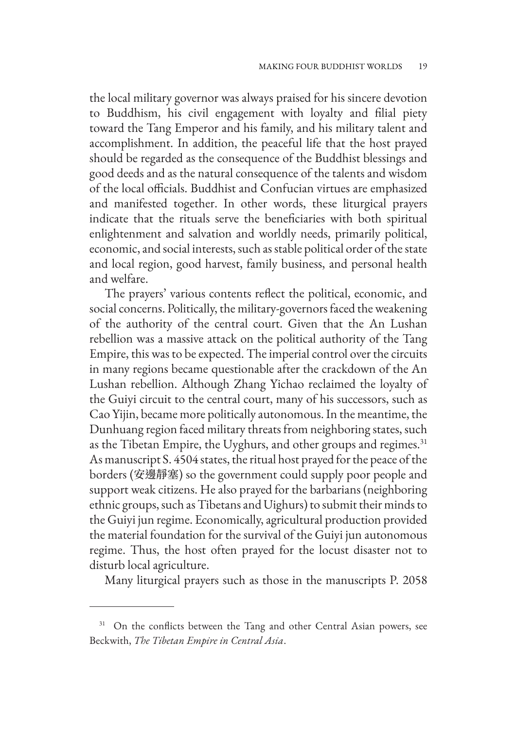the local military governor was always praised for his sincere devotion to Buddhism, his civil engagement with loyalty and filial piety toward the Tang Emperor and his family, and his military talent and accomplishment. In addition, the peaceful life that the host prayed should be regarded as the consequence of the Buddhist blessings and good deeds and as the natural consequence of the talents and wisdom of the local officials. Buddhist and Confucian virtues are emphasized and manifested together. In other words, these liturgical prayers indicate that the rituals serve the beneficiaries with both spiritual enlightenment and salvation and worldly needs, primarily political, economic, and social interests, such as stable political order of the state and local region, good harvest, family business, and personal health and welfare.

The prayers' various contents reflect the political, economic, and social concerns. Politically, the military-governors faced the weakening of the authority of the central court. Given that the An Lushan rebellion was a massive attack on the political authority of the Tang Empire, this was to be expected. The imperial control over the circuits in many regions became questionable after the crackdown of the An Lushan rebellion. Although Zhang Yichao reclaimed the loyalty of the Guiyi circuit to the central court, many of his successors, such as Cao Yijin, became more politically autonomous. In the meantime, the Dunhuang region faced military threats from neighboring states, such as the Tibetan Empire, the Uyghurs, and other groups and regimes.<sup>31</sup> As manuscript S. 4504 states, the ritual host prayed for the peace of the borders (安邊靜塞) so the government could supply poor people and support weak citizens. He also prayed for the barbarians (neighboring ethnic groups, such as Tibetans and Uighurs) to submit their minds to the Guiyi jun regime. Economically, agricultural production provided the material foundation for the survival of the Guiyi jun autonomous regime. Thus, the host often prayed for the locust disaster not to disturb local agriculture.

Many liturgical prayers such as those in the manuscripts P. 2058

<sup>&</sup>lt;sup>31</sup> On the conflicts between the Tang and other Central Asian powers, see Beckwith, *The Tibetan Empire in Central Asia*.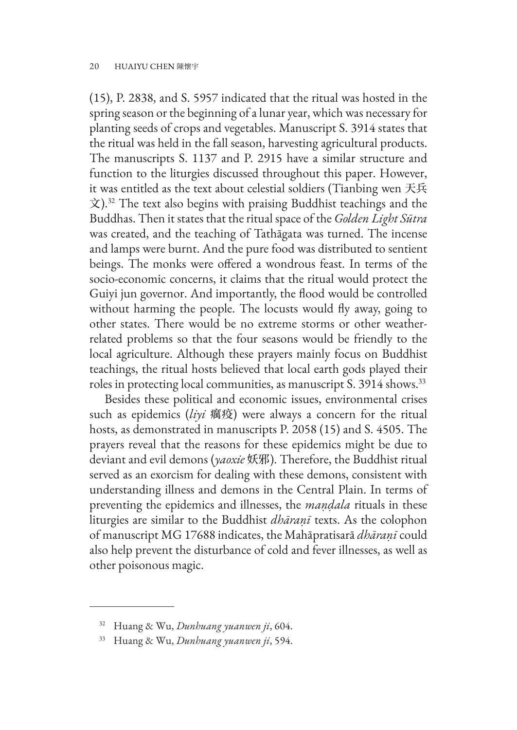(15), P. 2838, and S. 5957 indicated that the ritual was hosted in the spring season or the beginning of a lunar year, which was necessary for planting seeds of crops and vegetables. Manuscript S. 3914 states that the ritual was held in the fall season, harvesting agricultural products. The manuscripts S. 1137 and P. 2915 have a similar structure and function to the liturgies discussed throughout this paper. However, it was entitled as the text about celestial soldiers (Tianbing wen 天兵  $\chi$ ).<sup>32</sup> The text also begins with praising Buddhist teachings and the Buddhas. Then it states that the ritual space of the *Golden Light Sūtra*  was created, and the teaching of Tathāgata was turned. The incense and lamps were burnt. And the pure food was distributed to sentient beings. The monks were offered a wondrous feast. In terms of the socio-economic concerns, it claims that the ritual would protect the Guiyi jun governor. And importantly, the flood would be controlled without harming the people. The locusts would fly away, going to other states. There would be no extreme storms or other weatherrelated problems so that the four seasons would be friendly to the local agriculture. Although these prayers mainly focus on Buddhist teachings, the ritual hosts believed that local earth gods played their roles in protecting local communities, as manuscript S. 3914 shows.<sup>33</sup>

Besides these political and economic issues, environmental crises such as epidemics (*liyi* 癘疫) were always a concern for the ritual hosts, as demonstrated in manuscripts P. 2058 (15) and S. 4505. The prayers reveal that the reasons for these epidemics might be due to deviant and evil demons (*yaoxie* 妖邪). Therefore, the Buddhist ritual served as an exorcism for dealing with these demons, consistent with understanding illness and demons in the Central Plain. In terms of preventing the epidemics and illnesses, the *maṇḍala* rituals in these liturgies are similar to the Buddhist *dhāraṇī* texts. As the colophon of manuscript MG 17688 indicates, the Mahāpratisarā *dhāraṇī* could also help prevent the disturbance of cold and fever illnesses, as well as other poisonous magic.

<sup>32</sup> Huang & Wu, *Dunhuang yuanwen ji*, 604.

<sup>33</sup> Huang & Wu, *Dunhuang yuanwen ji*, 594.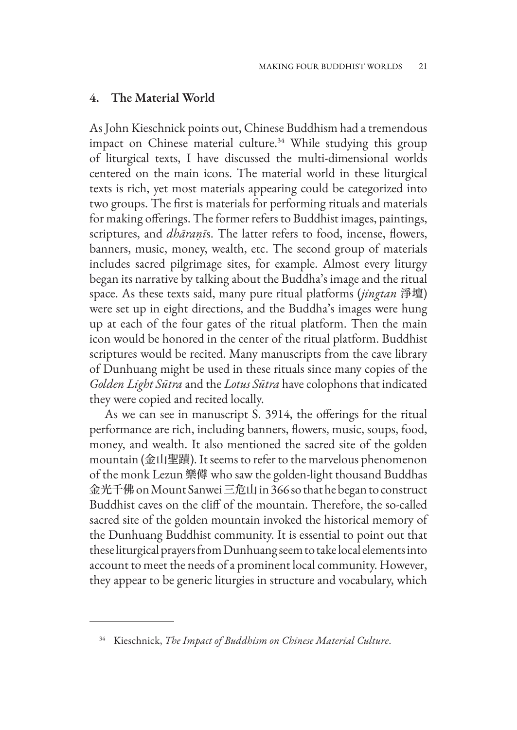#### **4. The Material World**

As John Kieschnick points out, Chinese Buddhism had a tremendous impact on Chinese material culture.<sup>34</sup> While studying this group of liturgical texts, I have discussed the multi-dimensional worlds centered on the main icons. The material world in these liturgical texts is rich, yet most materials appearing could be categorized into two groups. The first is materials for performing rituals and materials for making offerings. The former refers to Buddhist images, paintings, scriptures, and *dhāraṇī*s. The latter refers to food, incense, flowers, banners, music, money, wealth, etc. The second group of materials includes sacred pilgrimage sites, for example. Almost every liturgy began its narrative by talking about the Buddha's image and the ritual space. As these texts said, many pure ritual platforms (*jingtan* 淨壇) were set up in eight directions, and the Buddha's images were hung up at each of the four gates of the ritual platform. Then the main icon would be honored in the center of the ritual platform. Buddhist scriptures would be recited. Many manuscripts from the cave library of Dunhuang might be used in these rituals since many copies of the *Golden Light Sūtra* and the *Lotus Sūtra* have colophons that indicated they were copied and recited locally.

As we can see in manuscript S. 3914, the offerings for the ritual performance are rich, including banners, flowers, music, soups, food, money, and wealth. It also mentioned the sacred site of the golden mountain (金山聖蹟). It seems to refer to the marvelous phenomenon of the monk Lezun 樂僔 who saw the golden-light thousand Buddhas 金光千佛 on Mount Sanwei 三危山 in 366 so that he began to construct Buddhist caves on the cliff of the mountain. Therefore, the so-called sacred site of the golden mountain invoked the historical memory of the Dunhuang Buddhist community. It is essential to point out that these liturgical prayers from Dunhuang seem to take local elements into account to meet the needs of a prominent local community. However, they appear to be generic liturgies in structure and vocabulary, which

<sup>34</sup> Kieschnick, *The Impact of Buddhism on Chinese Material Culture*.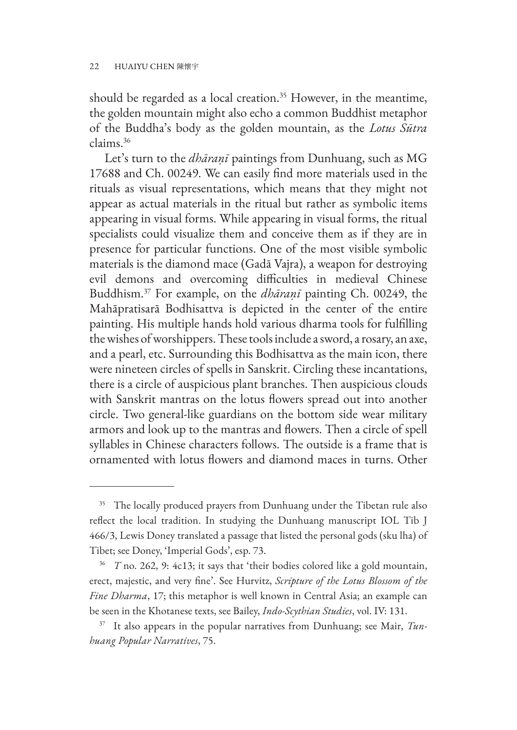should be regarded as a local creation.<sup>35</sup> However, in the meantime, the golden mountain might also echo a common Buddhist metaphor of the Buddha's body as the golden mountain, as the *Lotus Sūtra*  claims.36

Let's turn to the *dhāraṇī* paintings from Dunhuang, such as MG 17688 and Ch. 00249. We can easily find more materials used in the rituals as visual representations, which means that they might not appear as actual materials in the ritual but rather as symbolic items appearing in visual forms. While appearing in visual forms, the ritual specialists could visualize them and conceive them as if they are in presence for particular functions. One of the most visible symbolic materials is the diamond mace (Gadā Vajra), a weapon for destroying evil demons and overcoming difficulties in medieval Chinese Buddhism.37 For example, on the *dhāraṇī* painting Ch. 00249, the Mahāpratisarā Bodhisattva is depicted in the center of the entire painting. His multiple hands hold various dharma tools for fulfilling the wishes of worshippers. These tools include a sword, a rosary, an axe, and a pearl, etc. Surrounding this Bodhisattva as the main icon, there were nineteen circles of spells in Sanskrit. Circling these incantations, there is a circle of auspicious plant branches. Then auspicious clouds with Sanskrit mantras on the lotus flowers spread out into another circle. Two general-like guardians on the bottom side wear military armors and look up to the mantras and flowers. Then a circle of spell syllables in Chinese characters follows. The outside is a frame that is ornamented with lotus flowers and diamond maces in turns. Other

<sup>&</sup>lt;sup>35</sup> The locally produced prayers from Dunhuang under the Tibetan rule also reflect the local tradition. In studying the Dunhuang manuscript IOL Tib J 466/3, Lewis Doney translated a passage that listed the personal gods (sku lha) of Tibet; see Doney, 'Imperial Gods', esp. 73.

<sup>36</sup> *T* no. 262, 9: 4c13; it says that 'their bodies colored like a gold mountain, erect, majestic, and very fine'. See Hurvitz, *Scripture of the Lotus Blossom of the Fine Dharma*, 17; this metaphor is well known in Central Asia; an example can be seen in the Khotanese texts, see Bailey, *Indo-Scythian Studies*, vol. IV: 131.

<sup>37</sup> It also appears in the popular narratives from Dunhuang; see Mair, *Tunhuang Popular Narratives*, 75.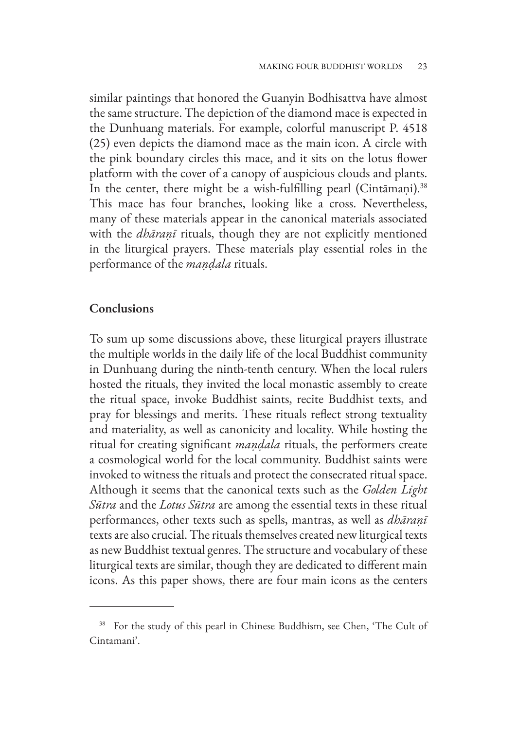similar paintings that honored the Guanyin Bodhisattva have almost the same structure. The depiction of the diamond mace is expected in the Dunhuang materials. For example, colorful manuscript P. 4518 (25) even depicts the diamond mace as the main icon. A circle with the pink boundary circles this mace, and it sits on the lotus flower platform with the cover of a canopy of auspicious clouds and plants. In the center, there might be a wish-fulfilling pearl (Cintāmaṇi).<sup>38</sup> This mace has four branches, looking like a cross. Nevertheless, many of these materials appear in the canonical materials associated with the *dhāraṇī* rituals, though they are not explicitly mentioned in the liturgical prayers. These materials play essential roles in the performance of the *maṇḍala* rituals.

#### **Conclusions**

To sum up some discussions above, these liturgical prayers illustrate the multiple worlds in the daily life of the local Buddhist community in Dunhuang during the ninth-tenth century. When the local rulers hosted the rituals, they invited the local monastic assembly to create the ritual space, invoke Buddhist saints, recite Buddhist texts, and pray for blessings and merits. These rituals reflect strong textuality and materiality, as well as canonicity and locality. While hosting the ritual for creating significant *maṇḍala* rituals, the performers create a cosmological world for the local community. Buddhist saints were invoked to witness the rituals and protect the consecrated ritual space. Although it seems that the canonical texts such as the *Golden Light Sūtra* and the *Lotus Sūtra* are among the essential texts in these ritual performances, other texts such as spells, mantras, as well as *dhāraṇī* texts are also crucial. The rituals themselves created new liturgical texts as new Buddhist textual genres. The structure and vocabulary of these liturgical texts are similar, though they are dedicated to different main icons. As this paper shows, there are four main icons as the centers

<sup>&</sup>lt;sup>38</sup> For the study of this pearl in Chinese Buddhism, see Chen, 'The Cult of Cintamani'.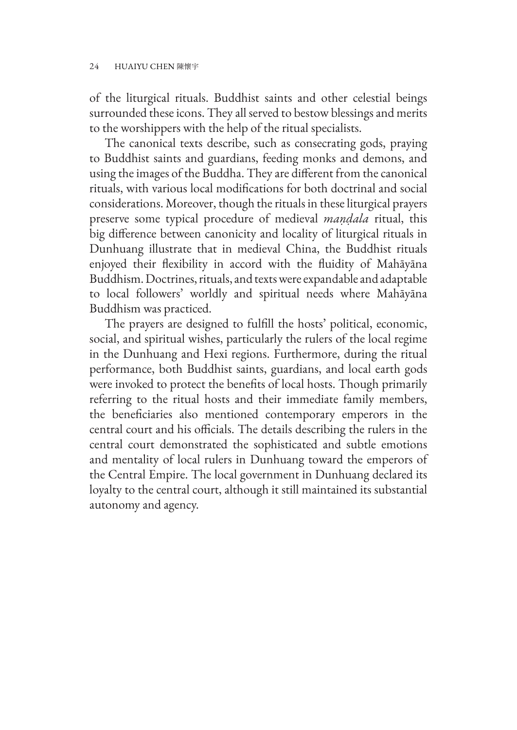of the liturgical rituals. Buddhist saints and other celestial beings surrounded these icons. They all served to bestow blessings and merits to the worshippers with the help of the ritual specialists.

The canonical texts describe, such as consecrating gods, praying to Buddhist saints and guardians, feeding monks and demons, and using the images of the Buddha. They are different from the canonical rituals, with various local modifications for both doctrinal and social considerations. Moreover, though the rituals in these liturgical prayers preserve some typical procedure of medieval *maṇḍala* ritual, this big difference between canonicity and locality of liturgical rituals in Dunhuang illustrate that in medieval China, the Buddhist rituals enjoyed their flexibility in accord with the fluidity of Mahāyāna Buddhism. Doctrines, rituals, and texts were expandable and adaptable to local followers' worldly and spiritual needs where Mahāyāna Buddhism was practiced.

The prayers are designed to fulfill the hosts' political, economic, social, and spiritual wishes, particularly the rulers of the local regime in the Dunhuang and Hexi regions. Furthermore, during the ritual performance, both Buddhist saints, guardians, and local earth gods were invoked to protect the benefits of local hosts. Though primarily referring to the ritual hosts and their immediate family members, the beneficiaries also mentioned contemporary emperors in the central court and his officials. The details describing the rulers in the central court demonstrated the sophisticated and subtle emotions and mentality of local rulers in Dunhuang toward the emperors of the Central Empire. The local government in Dunhuang declared its loyalty to the central court, although it still maintained its substantial autonomy and agency.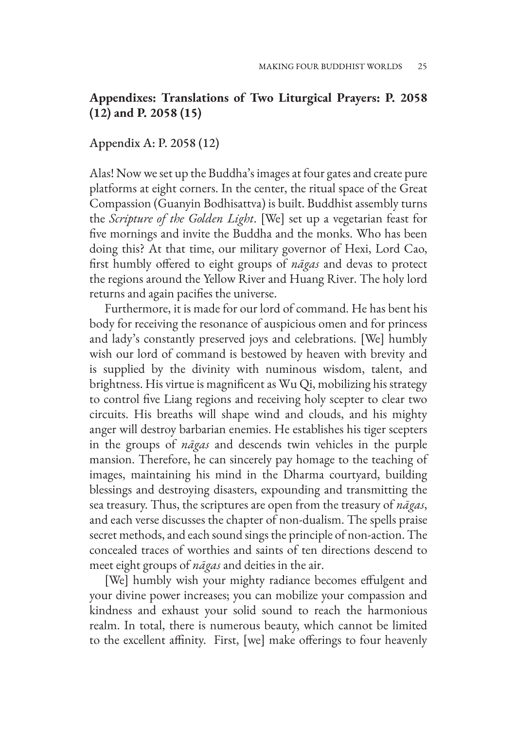# **Appendixes: Translations of Two Liturgical Prayers: P. 2058 (12) and P. 2058 (15)**

#### Appendix A: P. 2058 (12)

Alas! Now we set up the Buddha's images at four gates and create pure platforms at eight corners. In the center, the ritual space of the Great Compassion (Guanyin Bodhisattva) is built. Buddhist assembly turns the *Scripture of the Golden Light*. [We] set up a vegetarian feast for five mornings and invite the Buddha and the monks. Who has been doing this? At that time, our military governor of Hexi, Lord Cao, first humbly offered to eight groups of *nāgas* and devas to protect the regions around the Yellow River and Huang River. The holy lord returns and again pacifies the universe.

Furthermore, it is made for our lord of command. He has bent his body for receiving the resonance of auspicious omen and for princess and lady's constantly preserved joys and celebrations. [We] humbly wish our lord of command is bestowed by heaven with brevity and is supplied by the divinity with numinous wisdom, talent, and brightness. His virtue is magnificent as Wu Qi, mobilizing his strategy to control five Liang regions and receiving holy scepter to clear two circuits. His breaths will shape wind and clouds, and his mighty anger will destroy barbarian enemies. He establishes his tiger scepters in the groups of *nāgas* and descends twin vehicles in the purple mansion. Therefore, he can sincerely pay homage to the teaching of images, maintaining his mind in the Dharma courtyard, building blessings and destroying disasters, expounding and transmitting the sea treasury. Thus, the scriptures are open from the treasury of *nāgas*, and each verse discusses the chapter of non-dualism. The spells praise secret methods, and each sound sings the principle of non-action. The concealed traces of worthies and saints of ten directions descend to meet eight groups of *nāgas* and deities in the air.

[We] humbly wish your mighty radiance becomes effulgent and your divine power increases; you can mobilize your compassion and kindness and exhaust your solid sound to reach the harmonious realm. In total, there is numerous beauty, which cannot be limited to the excellent affinity. First, [we] make offerings to four heavenly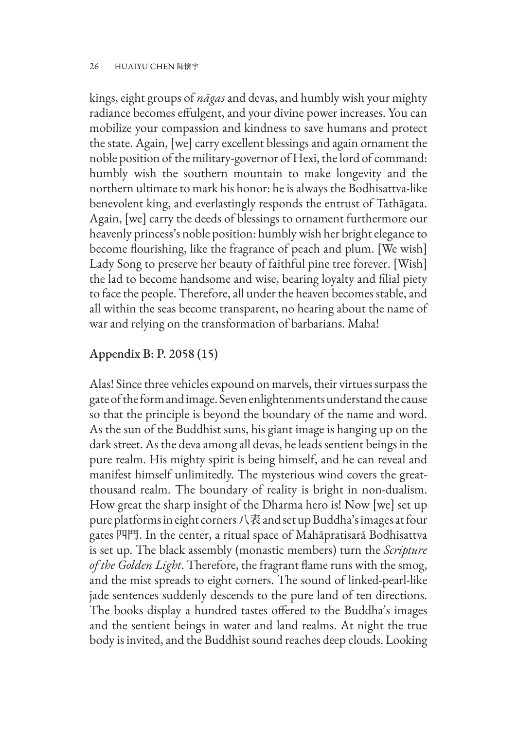kings, eight groups of *nāgas* and devas, and humbly wish your mighty radiance becomes effulgent, and your divine power increases. You can mobilize your compassion and kindness to save humans and protect the state. Again, [we] carry excellent blessings and again ornament the noble position of the military-governor of Hexi, the lord of command: humbly wish the southern mountain to make longevity and the northern ultimate to mark his honor: he is always the Bodhisattva-like benevolent king, and everlastingly responds the entrust of Tathāgata. Again, [we] carry the deeds of blessings to ornament furthermore our heavenly princess's noble position: humbly wish her bright elegance to become flourishing, like the fragrance of peach and plum. [We wish] Lady Song to preserve her beauty of faithful pine tree forever. [Wish] the lad to become handsome and wise, bearing loyalty and filial piety to face the people. Therefore, all under the heaven becomes stable, and all within the seas become transparent, no hearing about the name of war and relying on the transformation of barbarians. Maha!

# Appendix B: P. 2058 (15)

Alas! Since three vehicles expound on marvels, their virtues surpass the gate of the form and image. Seven enlightenments understand the cause so that the principle is beyond the boundary of the name and word. As the sun of the Buddhist suns, his giant image is hanging up on the dark street. As the deva among all devas, he leads sentient beings in the pure realm. His mighty spirit is being himself, and he can reveal and manifest himself unlimitedly. The mysterious wind covers the greatthousand realm. The boundary of reality is bright in non-dualism. How great the sharp insight of the Dharma hero is! Now [we] set up pure platforms in eight corners 八表 and set up Buddha's images at four gates 四門. In the center, a ritual space of Mahāpratisarā Bodhisattva is set up. The black assembly (monastic members) turn the *Scripture of the Golden Light*. Therefore, the fragrant flame runs with the smog, and the mist spreads to eight corners. The sound of linked-pearl-like jade sentences suddenly descends to the pure land of ten directions. The books display a hundred tastes offered to the Buddha's images and the sentient beings in water and land realms. At night the true body is invited, and the Buddhist sound reaches deep clouds. Looking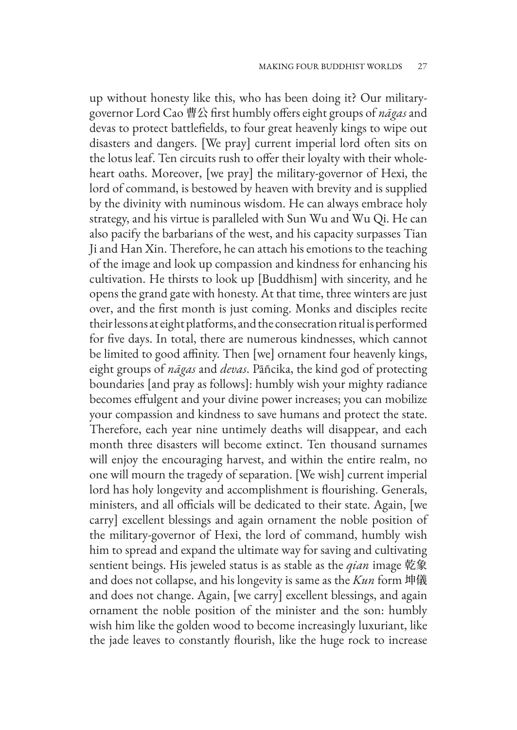up without honesty like this, who has been doing it? Our militarygovernor Lord Cao 曹公 first humbly offers eight groups of *nāgas* and devas to protect battlefields, to four great heavenly kings to wipe out disasters and dangers. [We pray] current imperial lord often sits on the lotus leaf. Ten circuits rush to offer their loyalty with their wholeheart oaths. Moreover, [we pray] the military-governor of Hexi, the lord of command, is bestowed by heaven with brevity and is supplied by the divinity with numinous wisdom. He can always embrace holy strategy, and his virtue is paralleled with Sun Wu and Wu Qi. He can also pacify the barbarians of the west, and his capacity surpasses Tian Ji and Han Xin. Therefore, he can attach his emotions to the teaching of the image and look up compassion and kindness for enhancing his cultivation. He thirsts to look up [Buddhism] with sincerity, and he opens the grand gate with honesty. At that time, three winters are just over, and the first month is just coming. Monks and disciples recite their lessons at eight platforms, and the consecration ritual is performed for five days. In total, there are numerous kindnesses, which cannot be limited to good affinity. Then [we] ornament four heavenly kings, eight groups of *nāgas* and *devas*. Pāñcika, the kind god of protecting boundaries [and pray as follows]: humbly wish your mighty radiance becomes effulgent and your divine power increases; you can mobilize your compassion and kindness to save humans and protect the state. Therefore, each year nine untimely deaths will disappear, and each month three disasters will become extinct. Ten thousand surnames will enjoy the encouraging harvest, and within the entire realm, no one will mourn the tragedy of separation. [We wish] current imperial lord has holy longevity and accomplishment is flourishing. Generals, ministers, and all officials will be dedicated to their state. Again, [we carry] excellent blessings and again ornament the noble position of the military-governor of Hexi, the lord of command, humbly wish him to spread and expand the ultimate way for saving and cultivating sentient beings. His jeweled status is as stable as the *qian* image 乾象 and does not collapse, and his longevity is same as the *Kun* form 坤儀 and does not change. Again, [we carry] excellent blessings, and again ornament the noble position of the minister and the son: humbly wish him like the golden wood to become increasingly luxuriant, like the jade leaves to constantly flourish, like the huge rock to increase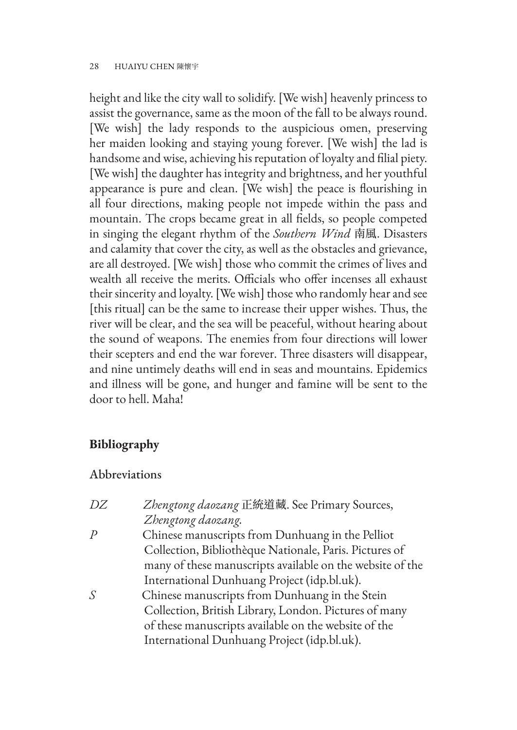height and like the city wall to solidify. [We wish] heavenly princess to assist the governance, same as the moon of the fall to be always round. [We wish] the lady responds to the auspicious omen, preserving her maiden looking and staying young forever. [We wish] the lad is handsome and wise, achieving his reputation of loyalty and filial piety. [We wish] the daughter has integrity and brightness, and her youthful appearance is pure and clean. [We wish] the peace is flourishing in all four directions, making people not impede within the pass and mountain. The crops became great in all fields, so people competed in singing the elegant rhythm of the *Southern Wind* 南風. Disasters and calamity that cover the city, as well as the obstacles and grievance, are all destroyed. [We wish] those who commit the crimes of lives and wealth all receive the merits. Officials who offer incenses all exhaust their sincerity and loyalty. [We wish] those who randomly hear and see [this ritual] can be the same to increase their upper wishes. Thus, the river will be clear, and the sea will be peaceful, without hearing about the sound of weapons. The enemies from four directions will lower their scepters and end the war forever. Three disasters will disappear, and nine untimely deaths will end in seas and mountains. Epidemics and illness will be gone, and hunger and famine will be sent to the door to hell. Maha!

# **Bibliography**

# Abbreviations

| DZ | Zhengtong daozang 正統道藏. See Primary Sources,              |
|----|-----------------------------------------------------------|
|    | Zhengtong daozang.                                        |
| P  | Chinese manuscripts from Dunhuang in the Pelliot          |
|    | Collection, Bibliothèque Nationale, Paris. Pictures of    |
|    | many of these manuscripts available on the website of the |
|    | International Dunhuang Project (idp.bl.uk).               |
| S  | Chinese manuscripts from Dunhuang in the Stein            |
|    | Collection, British Library, London. Pictures of many     |
|    | of these manuscripts available on the website of the      |
|    | International Dunhuang Project (idp.bl.uk).               |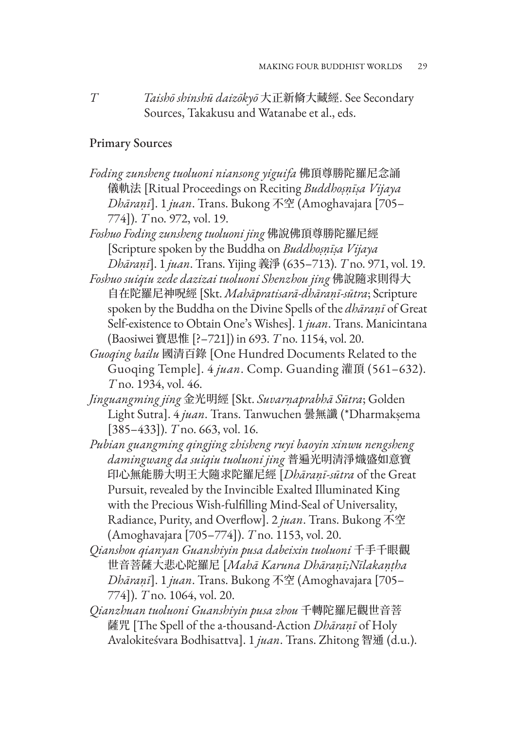*T Taishō shinshū daizōkyō* 大正新脩大藏經. See Secondary Sources, Takakusu and Watanabe et al., eds.

#### Primary Sources

*Foding zunsheng tuoluoni niansong yiguifa* 佛頂尊勝陀羅尼念誦 儀軌法 [Ritual Proceedings on Reciting *Buddhoṣṇīṣa Vijaya Dhāraṇī*]. 1 *juan*. Trans. Bukong 不空 (Amoghavajara [705– 774]). *T* no. 972, vol. 19.

*Foshuo Foding zunsheng tuoluoni jing* 佛說佛頂尊勝陀羅尼經 [Scripture spoken by the Buddha on *Buddhoṣṇīṣa Vijaya Dhāraṇī*]. 1 *juan*. Trans. Yijing 義淨 (635–713). *T* no. 971, vol. 19.

- *Foshuo suiqiu zede dazizai tuoluoni Shenzhou jing* 佛說隨求則得大 自在陀羅尼神呪經 [Skt. *Mahāpratisarā-dhāraṇī-sūtra*; Scripture spoken by the Buddha on the Divine Spells of the *dhāraṇī* of Great Self-existence to Obtain One's Wishes]. 1 *juan*. Trans. Manicintana (Baosiwei 寶思惟 [?–721]) in 693. *T* no. 1154, vol. 20.
- *Guoqing bailu* 國清百錄 [One Hundred Documents Related to the Guoqing Temple]. 4 *juan*. Comp. Guanding 灌頂 (561–632). *T* no. 1934, vol. 46.
- *Jinguangming jing* 金光明經 [Skt. *Suvarṇaprabhā Sūtra*; Golden Light Sutra]. 4 *juan*. Trans. Tanwuchen 曇無讖 (\*Dharmakṣema [385–433]). *T* no. 663, vol. 16.
- *Pubian guangming qingjing zhisheng ruyi baoyin xinwu nengsheng damingwang da suiqiu tuoluoni jing* 普遍光明清淨熾盛如意寶 印心無能勝大明王大隨求陀羅尼經 [*Dhāraṇī-sūtra* of the Great Pursuit, revealed by the Invincible Exalted Illuminated King with the Precious Wish-fulfilling Mind-Seal of Universality, Radiance, Purity, and Overflow]. 2 *juan*. Trans. Bukong 不空 (Amoghavajara [705–774]). *T* no. 1153, vol. 20.
- *Qianshou qianyan Guanshiyin pusa dabeixin tuoluoni* 千手千眼觀 世音菩薩大悲心陀羅尼 [*Mahā Karuna Dhāraṇī;Nīlakaṇṭha Dhāraṇī*]. 1 *juan*. Trans. Bukong 不空 (Amoghavajara [705– 774]). *T* no. 1064, vol. 20.
- *Qianzhuan tuoluoni Guanshiyin pusa zhou* 千轉陀羅尼觀世音菩 薩咒 [The Spell of the a-thousand-Action *Dhāraṇī* of Holy Avalokiteśvara Bodhisattva]. 1 *juan*. Trans. Zhitong 智通 (d.u.).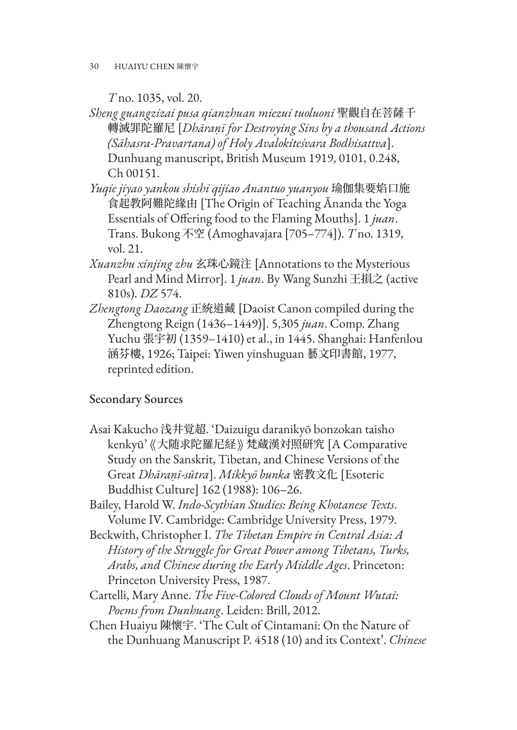*T* no. 1035, vol. 20.

- *Sheng guangzizai pusa qianzhuan miezui tuoluoni* 聖觀自在菩薩千 轉滅罪陀羅尼 [*Dhāraṇī for Destroying Sins by a thousand Actions (Sāhasra-Pravartana) of Holy Avalokiteśvara Bodhisattva*]. Dunhuang manuscript, British Museum 1919, 0101, 0.248, Ch 00151.
- *Yuqie jiyao yankou shishi qijiao Anantuo yuanyou* 瑜伽集要焰口施 食起教阿難陀緣由 [The Origin of Teaching Ānanda the Yoga Essentials of Offering food to the Flaming Mouths]. 1 *juan*. Trans. Bukong 不空 (Amoghavajara [705–774]). *T* no. 1319, vol. 21.
- *Xuanzhu xinjing zhu* 玄珠心鏡注 [Annotations to the Mysterious Pearl and Mind Mirror]. 1 *juan*. By Wang Sunzhi 王損之 (active 810s). *DZ* 574.
- *Zhengtong Daozang* 正統道藏 [Daoist Canon compiled during the Zhengtong Reign (1436–1449)]. 5,305 *juan*. Comp. Zhang Yuchu 張宇初 (1359–1410) et al., in 1445. Shanghai: Hanfenlou 涵芬樓, 1926; Taipei: Yiwen yinshuguan 藝文印書館, 1977, reprinted edition.

# Secondary Sources

- Asai Kakucho 浅井覚超. 'Daizuigu daranikyō bonzokan taisho kenkyū' 《大随求陀羅尼経》 梵蔵漢対照研究 [A Comparative Study on the Sanskrit, Tibetan, and Chinese Versions of the Great *Dhāraṇī-sūtra*]. *Mikkyō bunka* 密教文化 [Esoteric Buddhist Culture] 162 (1988): 106–26.
- Bailey, Harold W. *Indo-Scythian Studies: Being Khotanese Texts*. Volume IV. Cambridge: Cambridge University Press, 1979.
- Beckwith, Christopher I. *The Tibetan Empire in Central Asia: A History of the Struggle for Great Power among Tibetans, Turks, Arabs, and Chinese during the Early Middle Ages*. Princeton: Princeton University Press, 1987.
- Cartelli, Mary Anne. *The Five-Colored Clouds of Mount Wutai: Poems from Dunhuang*. Leiden: Brill, 2012.
- Chen Huaiyu 陳懷宇. 'The Cult of Cintamani: On the Nature of the Dunhuang Manuscript P. 4518 (10) and its Context'. *Chinese*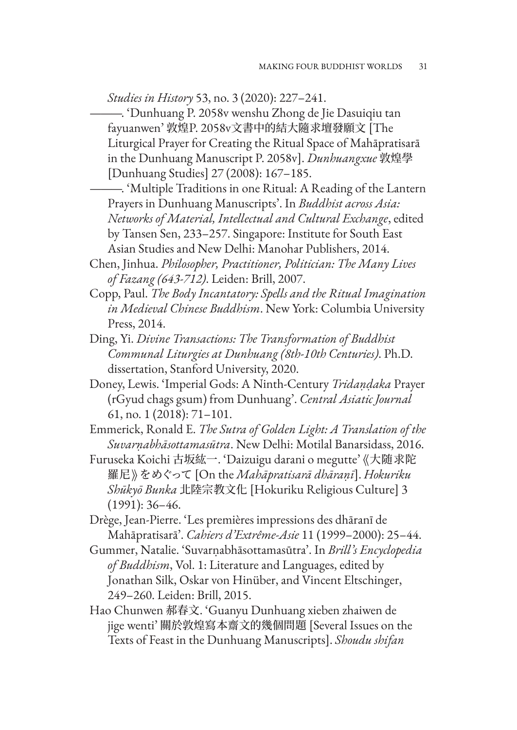*Studies in History* 53, no. 3 (2020): 227–241.

- ———. 'Dunhuang P. 2058v wenshu Zhong de Jie Dasuiqiu tan fayuanwen' 敦煌P. 2058v文書中的結大隨求壇發願文 [The Liturgical Prayer for Creating the Ritual Space of Mahāpratisarā in the Dunhuang Manuscript P. 2058v]. *Dunhuangxue* 敦煌學 [Dunhuang Studies] 27 (2008): 167–185.
- ———. 'Multiple Traditions in one Ritual: A Reading of the Lantern Prayers in Dunhuang Manuscripts'. In *Buddhist across Asia: Networks of Material, Intellectual and Cultural Exchange*, edited by Tansen Sen, 233–257. Singapore: Institute for South East Asian Studies and New Delhi: Manohar Publishers, 2014.
- Chen, Jinhua. *Philosopher, Practitioner, Politician: The Many Lives of Fazang (643-712)*. Leiden: Brill, 2007.
- Copp, Paul. *The Body Incantatory: Spells and the Ritual Imagination in Medieval Chinese Buddhism*. New York: Columbia University Press, 2014.
- Ding, Yi. *Divine Transactions: The Transformation of Buddhist Communal Liturgies at Dunhuang (8th-10th Centuries)*. Ph.D. dissertation, Stanford University, 2020.
- Doney, Lewis. 'Imperial Gods: A Ninth-Century *Tridaṇḍaka* Prayer (rGyud chags gsum) from Dunhuang'. *Central Asiatic Journal*  61, no. 1 (2018): 71–101.
- Emmerick, Ronald E. *The Sutra of Golden Light: A Translation of the Suvarṇabhāsottamasūtra*. New Delhi: Motilal Banarsidass, 2016.
- Furuseka Koichi 古坂紘一. 'Daizuigu darani o megutte' 《大随求陀 羅尼》 をめぐって [On the *Mahāpratisarā dhāraṇī*]. *Hokuriku Shūkyō Bunka* 北陸宗教文化 [Hokuriku Religious Culture] 3 (1991): 36–46.
- Drège, Jean-Pierre. 'Les premières impressions des dhāranī de Mahāpratisarā'. *Cahiers d'Extrême-Asie* 11 (1999–2000): 25–44.
- Gummer, Natalie. 'Suvarṇabhāsottamasūtra'. In *Brill's Encyclopedia of Buddhism*, Vol. 1: Literature and Languages, edited by Jonathan Silk, Oskar von Hinüber, and Vincent Eltschinger, 249–260. Leiden: Brill, 2015.
- Hao Chunwen 郝春文. 'Guanyu Dunhuang xieben zhaiwen de jige wenti' 關於敦煌寫本齋文的幾個問題 [Several Issues on the Texts of Feast in the Dunhuang Manuscripts]. *Shoudu shifan*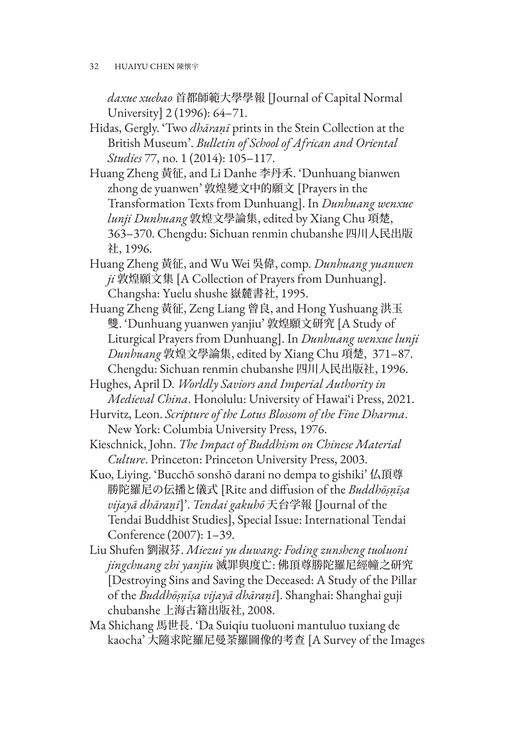32 HUAIYU CHEN 陳懷宇

*daxue xuebao* 首都師範大學學報 [Journal of Capital Normal University] 2 (1996): 64–71.

- Hidas, Gergly. 'Two *dhāraṇī* prints in the Stein Collection at the British Museum'. *Bulletin of School of African and Oriental Studies* 77, no. 1 (2014): 105–117.
- Huang Zheng 黃征, and Li Danhe 李丹禾. 'Dunhuang bianwen zhong de yuanwen' 敦煌變文中的願文 [Prayers in the Transformation Texts from Dunhuang]. In *Dunhuang wenxue lunji Dunhuang* 敦煌文學論集, edited by Xiang Chu 項楚, 363–370. Chengdu: Sichuan renmin chubanshe 四川人民出版 社, 1996.
- Huang Zheng 黃征, and Wu Wei 吳偉, comp. *Dunhuang yuanwen ji* 敦煌願文集 [A Collection of Prayers from Dunhuang]. Changsha: Yuelu shushe 嶽麓書社, 1995.
- Huang Zheng 黃征, Zeng Liang 曾良, and Hong Yushuang 洪玉 雙. 'Dunhuang yuanwen yanjiu' 敦煌願文研究 [A Study of Liturgical Prayers from Dunhuang]. In *Dunhuang wenxue lunji Dunhuang* 敦煌文學論集, edited by Xiang Chu 項楚, 371–87. Chengdu: Sichuan renmin chubanshe 四川人民出版社, 1996.
- Hughes, April D. *Worldly Saviors and Imperial Authority in Medieval China*. Honolulu: University of Hawai'i Press, 2021.
- Hurvitz, Leon. *Scripture of the Lotus Blossom of the Fine Dharma*. New York: Columbia University Press, 1976.
- Kieschnick, John. *The Impact of Buddhism on Chinese Material Culture*. Princeton: Princeton University Press, 2003.
- Kuo, Liying. 'Bucchō sonshō darani no dempa to gishiki' 仏頂尊 勝陀羅尼の伝播と儀式 [Rite and diffusion of the *Buddhōṣṇīṣa vijayā dhāraṇī*]'. *Tendai gakuhō* 天台学報 [Journal of the Tendai Buddhist Studies], Special Issue: International Tendai Conference (2007): 1–39.
- Liu Shufen 劉淑芬. *Miezui yu duwang: Foding zunsheng tuoluoni jingchuang zhi yanjiu* 滅罪與度亡: 佛頂尊勝陀羅尼經幢之研究 [Destroying Sins and Saving the Deceased: A Study of the Pillar of the *Buddhōṣṇīṣa vijayā dhāraṇī*]. Shanghai: Shanghai guji chubanshe 上海古籍出版社, 2008.
- Ma Shichang 馬世長. 'Da Suiqiu tuoluoni mantuluo tuxiang de kaocha' 大隨求陀羅尼曼荼羅圖像的考查 [A Survey of the Images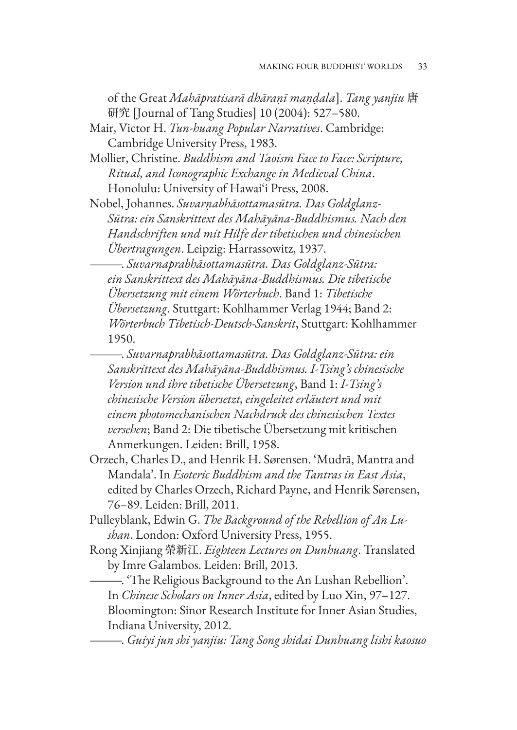of the Great *Mahāpratisarā dhāraṇī maṇḍala*]. *Tang yanjiu* 唐 研究 [Journal of Tang Studies] 10 (2004): 527–580.

Mair, Victor H. *Tun-huang Popular Narratives*. Cambridge: Cambridge University Press, 1983.

Mollier, Christine. *Buddhism and Taoism Face to Face: Scripture, Ritual, and Iconographic Exchange in Medieval China*. Honolulu: University of Hawai'i Press, 2008.

Nobel, Johannes. *Suvarṇabhāsottamasūtra. Das Goldglanz-Sūtra: ein Sanskrittext des Mahāyāna-Buddhismus. Nach den Handschriften und mit Hilfe der tibetischen und chinesischen Übertragungen*. Leipzig: Harrassowitz, 1937.

———. *Suvarnaprabhāsottamasūtra. Das Goldglanz-Sūtra: ein Sanskrittext des Mahāyāna-Buddhismus. Die tibetische Übersetzung mit einem Wörterbuch*. Band 1: *Tibetische Übersetzung*. Stuttgart: Kohlhammer Verlag 1944; Band 2: *Wörterbuch Tibetisch-Deutsch-Sanskrit*, Stuttgart: Kohlhammer 1950.

———. *Suvarnaprabhāsottamasūtra. Das Goldglanz-Sūtra: ein Sanskrittext des Mahāyāna-Buddhismus. I-Tsing's chinesische Version und ihre tibetische Übersetzung*, Band 1: *I-Tsing's chinesische Version übersetzt, eingeleitet erläutert und mit einem photomechanischen Nachdruck des chinesischen Textes versehen*; Band 2: Die tibetische Übersetzung mit kritischen Anmerkungen. Leiden: Brill, 1958.

- Orzech, Charles D., and Henrik H. Sørensen. 'Mudrā, Mantra and Mandala'. In *Esoteric Buddhism and the Tantras in East Asia*, edited by Charles Orzech, Richard Payne, and Henrik Sørensen, 76–89. Leiden: Brill, 2011.
- Pulleyblank, Edwin G. *The Background of the Rebellion of An Lushan*. London: Oxford University Press, 1955.
- Rong Xinjiang 榮新江. *Eighteen Lectures on Dunhuang*. Translated by Imre Galambos. Leiden: Brill, 2013.

———. 'The Religious Background to the An Lushan Rebellion'. In *Chinese Scholars on Inner Asia*, edited by Luo Xin, 97–127. Bloomington: Sinor Research Institute for Inner Asian Studies, Indiana University, 2012.

———. *Guiyi jun shi yanjiu: Tang Song shidai Dunhuang lishi kaosuo*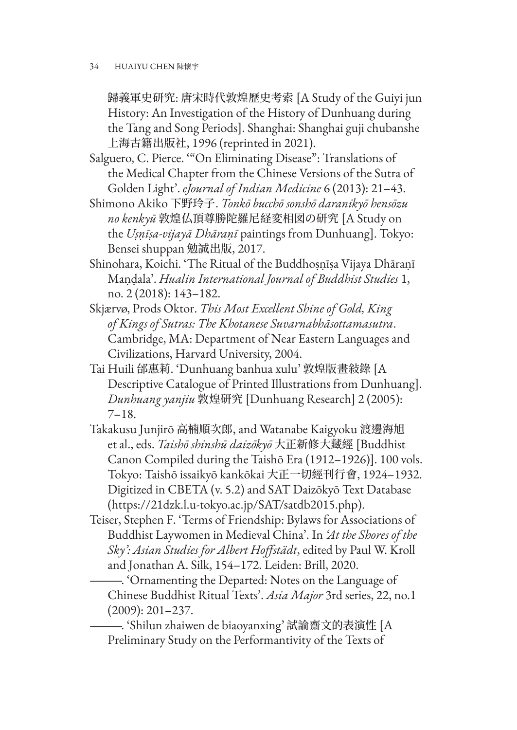歸義軍史研究: 唐宋時代敦煌歷史考索 [A Study of the Guiyi jun History: An Investigation of the History of Dunhuang during the Tang and Song Periods]. Shanghai: Shanghai guji chubanshe 上海古籍出版社, 1996 (reprinted in 2021).

Salguero, C. Pierce. '"On Eliminating Disease": Translations of the Medical Chapter from the Chinese Versions of the Sutra of Golden Light'. *eJournal of Indian Medicine* 6 (2013): 21–43.

- Shimono Akiko 下野玲子. *Tonkō bucchō sonshō daranikyō hensōzu no kenkyū* 敦煌仏頂尊勝陀羅尼経変相図の研究 [A Study on the *Uṣṇīṣa-vijayā Dhāraṇī* paintings from Dunhuang]. Tokyo: Bensei shuppan 勉誠出版, 2017.
- Shinohara, Koichi. 'The Ritual of the Buddhoṣṇīṣa Vijaya Dhāraṇī Maṇḍala'. *Hualin International Journal of Buddhist Studies* 1, no. 2 (2018): 143–182.
- Skjærvø, Prods Oktor. *This Most Excellent Shine of Gold, King of Kings of Sutras: The Khotanese Suvarnabhãsottamasutra*. Cambridge, MA: Department of Near Eastern Languages and Civilizations, Harvard University, 2004.
- Tai Huili 邰惠莉. 'Dunhuang banhua xulu' 敦煌版畫敍錄 [A Descriptive Catalogue of Printed Illustrations from Dunhuang]. *Dunhuang yanjiu* 敦煌研究 [Dunhuang Research] 2 (2005): 7–18.
- Takakusu Junjirō 高楠順次郎, and Watanabe Kaigyoku 渡邊海旭 et al., eds. *Taishō shinshū daizōkyō* 大正新修大藏經 [Buddhist Canon Compiled during the Taishō Era (1912–1926)]. 100 vols. Tokyo: Taishō issaikyō kankōkai 大正一切經刊行會, 1924–1932. Digitized in CBETA (v. 5.2) and SAT Daizōkyō Text Database (https://21dzk.l.u-tokyo.ac.jp/SAT/satdb2015.php).
- Teiser, Stephen F. 'Terms of Friendship: Bylaws for Associations of Buddhist Laywomen in Medieval China'. In *'At the Shores of the Sky': Asian Studies for Albert Hoffstädt*, edited by Paul W. Kroll and Jonathan A. Silk, 154–172. Leiden: Brill, 2020.

———. 'Ornamenting the Departed: Notes on the Language of Chinese Buddhist Ritual Texts'. *Asia Major* 3rd series, 22, no.1 (2009): 201–237.

———. 'Shilun zhaiwen de biaoyanxing' 試論齋文的表演性 [A Preliminary Study on the Performantivity of the Texts of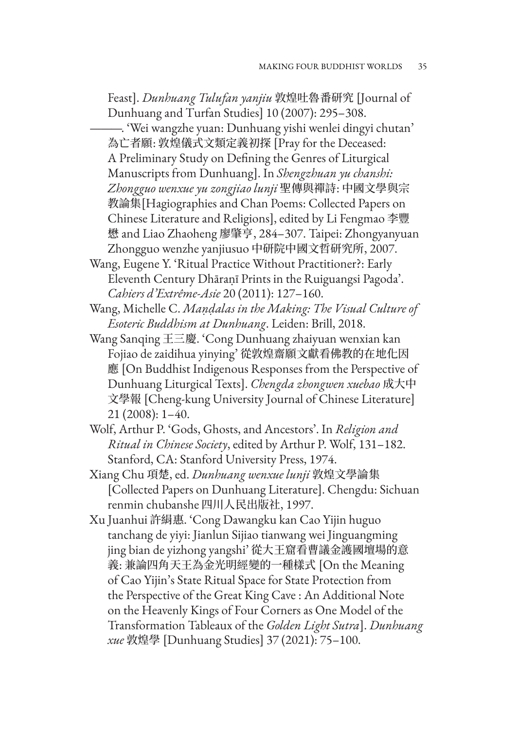Feast]. *Dunhuang Tulufan yanjiu* 敦煌吐魯番研究 [Journal of Dunhuang and Turfan Studies] 10 (2007): 295–308.

———. 'Wei wangzhe yuan: Dunhuang yishi wenlei dingyi chutan' 為亡者願: 敦煌儀式文類定義初探 [Pray for the Deceased: A Preliminary Study on Defining the Genres of Liturgical Manuscripts from Dunhuang]. In *Shengzhuan yu chanshi: Zhongguo wenxue yu zongjiao lunji* 聖傳與禪詩: 中國文學與宗 教論集[Hagiographies and Chan Poems: Collected Papers on Chinese Literature and Religions], edited by Li Fengmao 李豐 懋 and Liao Zhaoheng 廖肇亨, 284–307. Taipei: Zhongyanyuan Zhongguo wenzhe yanjiusuo 中研院中國文哲研究所, 2007.

Wang, Eugene Y. 'Ritual Practice Without Practitioner?: Early Eleventh Century Dhāraṇī Prints in the Ruiguangsi Pagoda'. *Cahiers d'Extrême-Asie* 20 (2011): 127–160.

Wang, Michelle C. *Maṇḍalas in the Making: The Visual Culture of Esoteric Buddhism at Dunhuang*. Leiden: Brill, 2018.

Wang Sanqing 王三慶. 'Cong Dunhuang zhaiyuan wenxian kan Fojiao de zaidihua yinying' 從敦煌齋願文獻看佛教的在地化因 應 [On Buddhist Indigenous Responses from the Perspective of Dunhuang Liturgical Texts]. *Chengda zhongwen xuebao* 成大中 文學報 [Cheng-kung University Journal of Chinese Literature] 21 (2008): 1–40.

Wolf, Arthur P. 'Gods, Ghosts, and Ancestors'. In *Religion and Ritual in Chinese Society*, edited by Arthur P. Wolf, 131–182. Stanford, CA: Stanford University Press, 1974.

Xiang Chu 項楚, ed. *Dunhuang wenxue lunji* 敦煌文學論集 [Collected Papers on Dunhuang Literature]. Chengdu: Sichuan renmin chubanshe 四川人民出版社, 1997.

Xu Juanhui 許絹惠. 'Cong Dawangku kan Cao Yijin huguo tanchang de yiyi: Jianlun Sijiao tianwang wei Jinguangming jing bian de yizhong yangshi' 從大王窟看曹議金護國壇場的意 義: 兼論四角天王為金光明經變的一種樣式 [On the Meaning of Cao Yijin's State Ritual Space for State Protection from the Perspective of the Great King Cave : An Additional Note on the Heavenly Kings of Four Corners as One Model of the Transformation Tableaux of the *Golden Light Sutra*]. *Dunhuang xue* 敦煌學 [Dunhuang Studies] 37 (2021): 75–100.